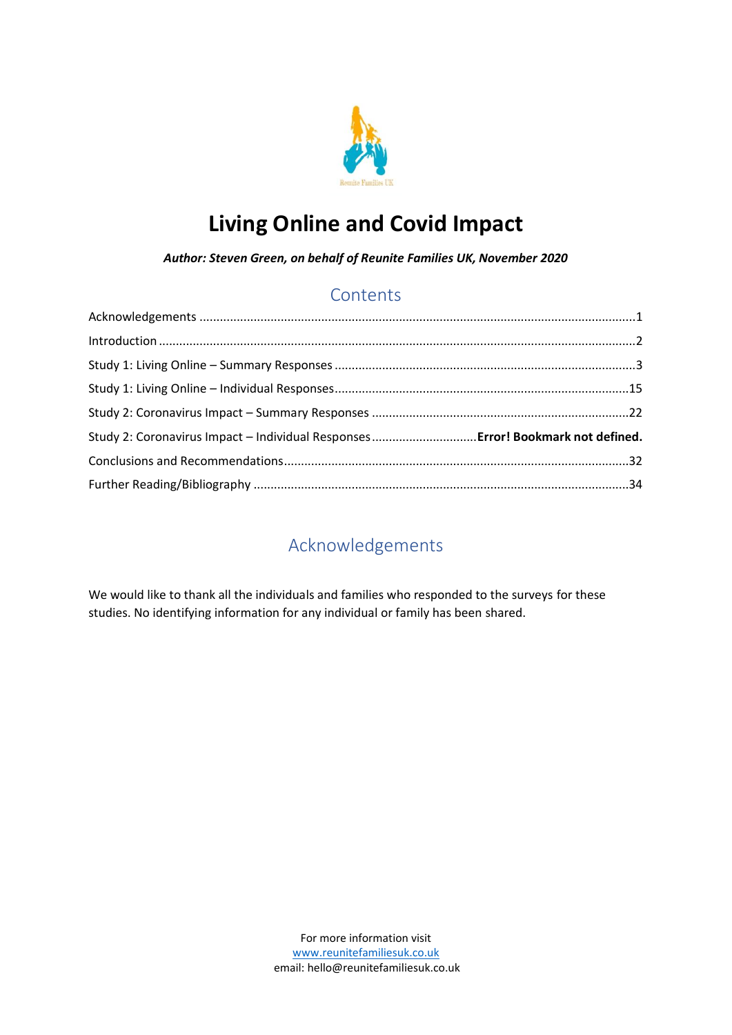

# **Living Online and Covid Impact**

*Author: Steven Green, on behalf of Reunite Families UK, November 2020*

### **Contents**

| Study 2: Coronavirus Impact - Individual Responses Error! Bookmark not defined. |  |
|---------------------------------------------------------------------------------|--|
|                                                                                 |  |
|                                                                                 |  |

# Acknowledgements

<span id="page-0-1"></span><span id="page-0-0"></span>We would like to thank all the individuals and families who responded to the surveys for these studies. No identifying information for any individual or family has been shared.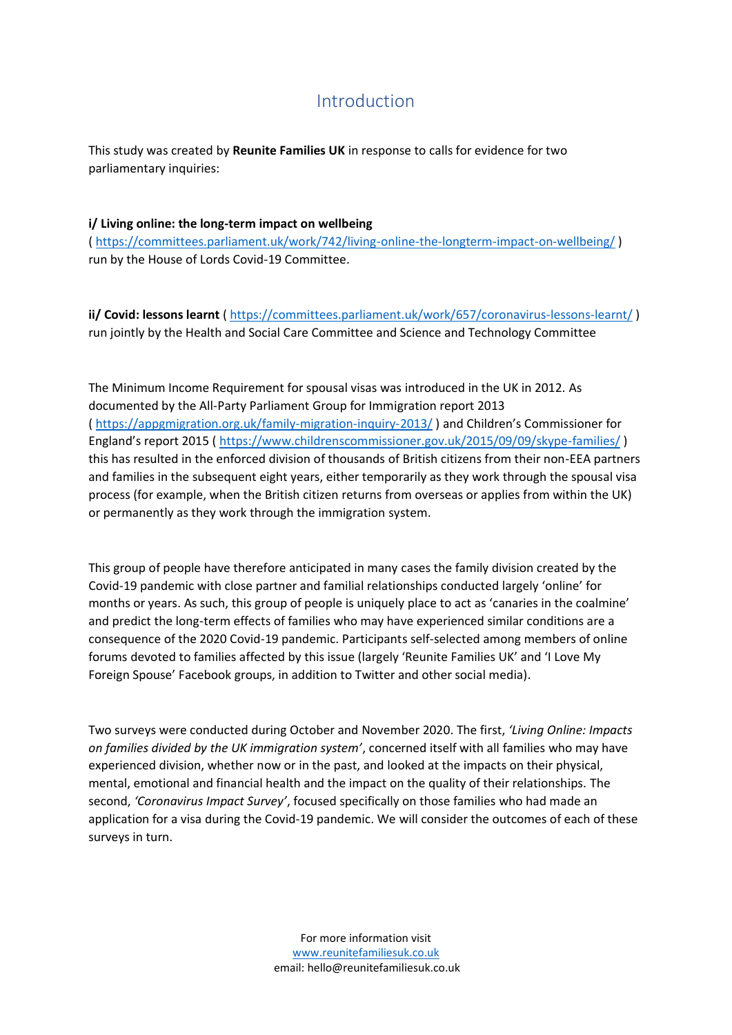### Introduction

This study was created by **Reunite Families UK** in response to calls for evidence for two parliamentary inquiries:

### **i/ Living online: the long-term impact on wellbeing** (<https://committees.parliament.uk/work/742/living-online-the-longterm-impact-on-wellbeing/> ) run by the House of Lords Covid-19 Committee.

**ii/ Covid: lessons learnt** (<https://committees.parliament.uk/work/657/coronavirus-lessons-learnt/> ) run jointly by the Health and Social Care Committee and Science and Technology Committee

The Minimum Income Requirement for spousal visas was introduced in the UK in 2012. As documented by the All-Party Parliament Group for Immigration report 2013 (<https://appgmigration.org.uk/family-migration-inquiry-2013/> ) and Children's Commissioner for England's report 2015 ( <https://www.childrenscommissioner.gov.uk/2015/09/09/skype-families/> ) this has resulted in the enforced division of thousands of British citizens from their non-EEA partners and families in the subsequent eight years, either temporarily as they work through the spousal visa process (for example, when the British citizen returns from overseas or applies from within the UK) or permanently as they work through the immigration system.

This group of people have therefore anticipated in many cases the family division created by the Covid-19 pandemic with close partner and familial relationships conducted largely 'online' for months or years. As such, this group of people is uniquely place to act as 'canaries in the coalmine' and predict the long-term effects of families who may have experienced similar conditions are a consequence of the 2020 Covid-19 pandemic. Participants self-selected among members of online forums devoted to families affected by this issue (largely 'Reunite Families UK' and 'I Love My Foreign Spouse' Facebook groups, in addition to Twitter and other social media).

Two surveys were conducted during October and November 2020. The first, *'Living Online: Impacts on families divided by the UK immigration system'*, concerned itself with all families who may have experienced division, whether now or in the past, and looked at the impacts on their physical, mental, emotional and financial health and the impact on the quality of their relationships. The second, *'Coronavirus Impact Survey'*, focused specifically on those families who had made an application for a visa during the Covid-19 pandemic. We will consider the outcomes of each of these surveys in turn.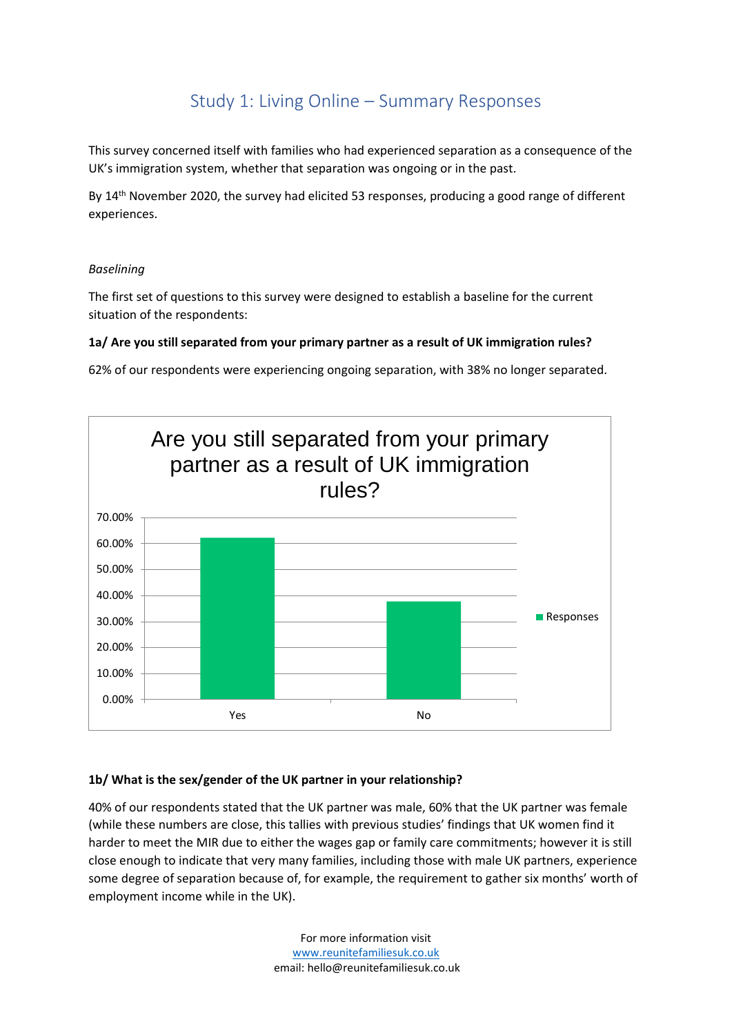# Study 1: Living Online – Summary Responses

<span id="page-2-0"></span>This survey concerned itself with families who had experienced separation as a consequence of the UK's immigration system, whether that separation was ongoing or in the past.

By 14th November 2020, the survey had elicited 53 responses, producing a good range of different experiences.

### *Baselining*

The first set of questions to this survey were designed to establish a baseline for the current situation of the respondents:

### **1a/ Are you still separated from your primary partner as a result of UK immigration rules?**

62% of our respondents were experiencing ongoing separation, with 38% no longer separated.



### **1b/ What is the sex/gender of the UK partner in your relationship?**

40% of our respondents stated that the UK partner was male, 60% that the UK partner was female (while these numbers are close, this tallies with previous studies' findings that UK women find it harder to meet the MIR due to either the wages gap or family care commitments; however it is still close enough to indicate that very many families, including those with male UK partners, experience some degree of separation because of, for example, the requirement to gather six months' worth of employment income while in the UK).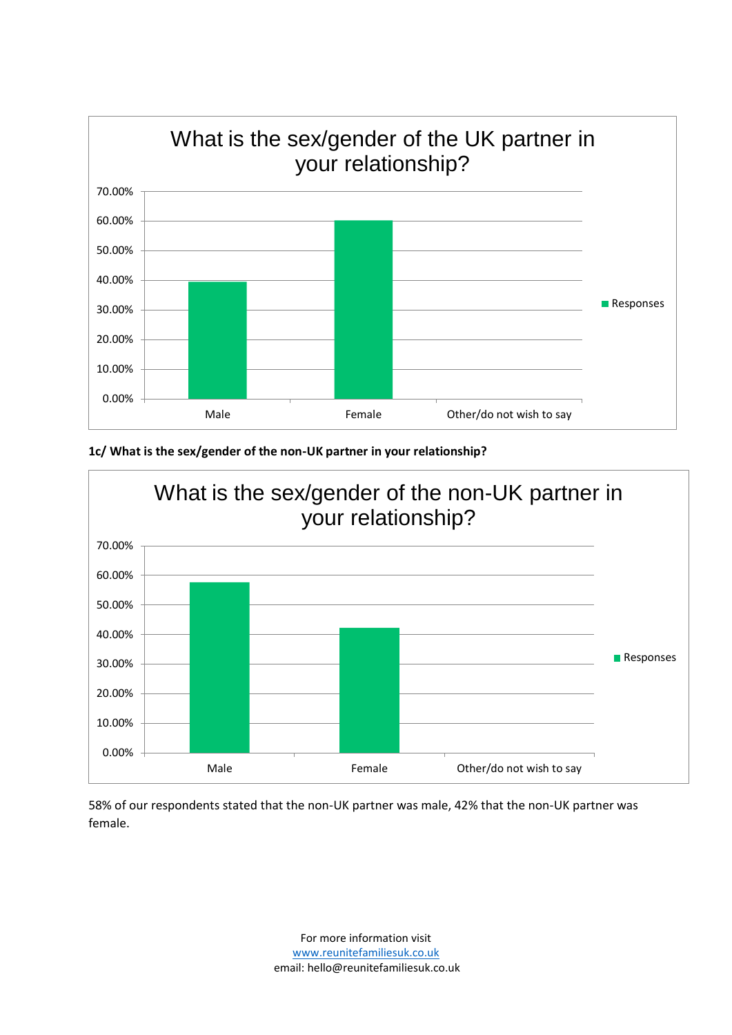

**1c/ What is the sex/gender of the non-UK partner in your relationship?**



58% of our respondents stated that the non-UK partner was male, 42% that the non-UK partner was female.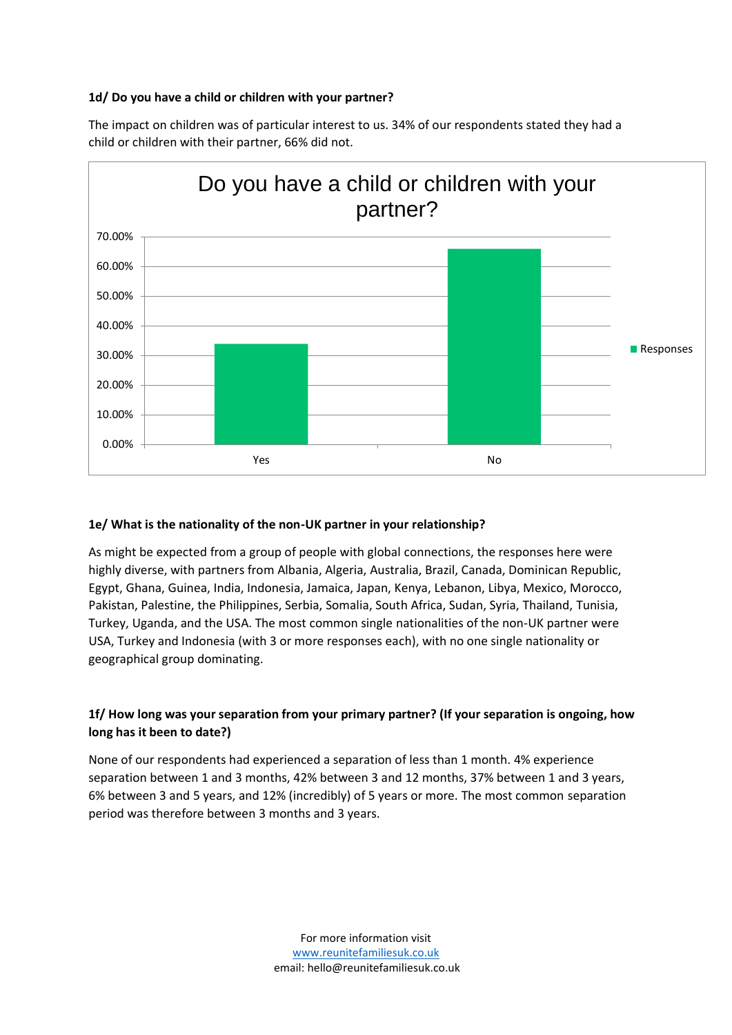### **1d/ Do you have a child or children with your partner?**



The impact on children was of particular interest to us. 34% of our respondents stated they had a child or children with their partner, 66% did not.

### **1e/ What is the nationality of the non-UK partner in your relationship?**

As might be expected from a group of people with global connections, the responses here were highly diverse, with partners from Albania, Algeria, Australia, Brazil, Canada, Dominican Republic, Egypt, Ghana, Guinea, India, Indonesia, Jamaica, Japan, Kenya, Lebanon, Libya, Mexico, Morocco, Pakistan, Palestine, the Philippines, Serbia, Somalia, South Africa, Sudan, Syria, Thailand, Tunisia, Turkey, Uganda, and the USA. The most common single nationalities of the non-UK partner were USA, Turkey and Indonesia (with 3 or more responses each), with no one single nationality or geographical group dominating.

### **1f/ How long was your separation from your primary partner? (If your separation is ongoing, how long has it been to date?)**

None of our respondents had experienced a separation of less than 1 month. 4% experience separation between 1 and 3 months, 42% between 3 and 12 months, 37% between 1 and 3 years, 6% between 3 and 5 years, and 12% (incredibly) of 5 years or more. The most common separation period was therefore between 3 months and 3 years.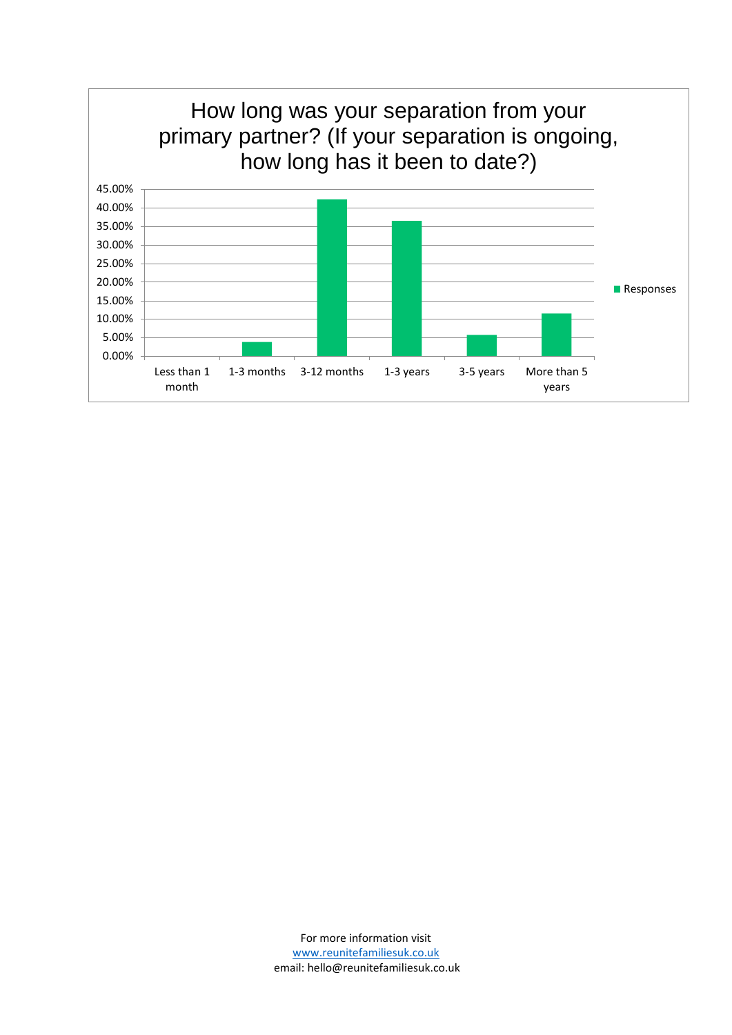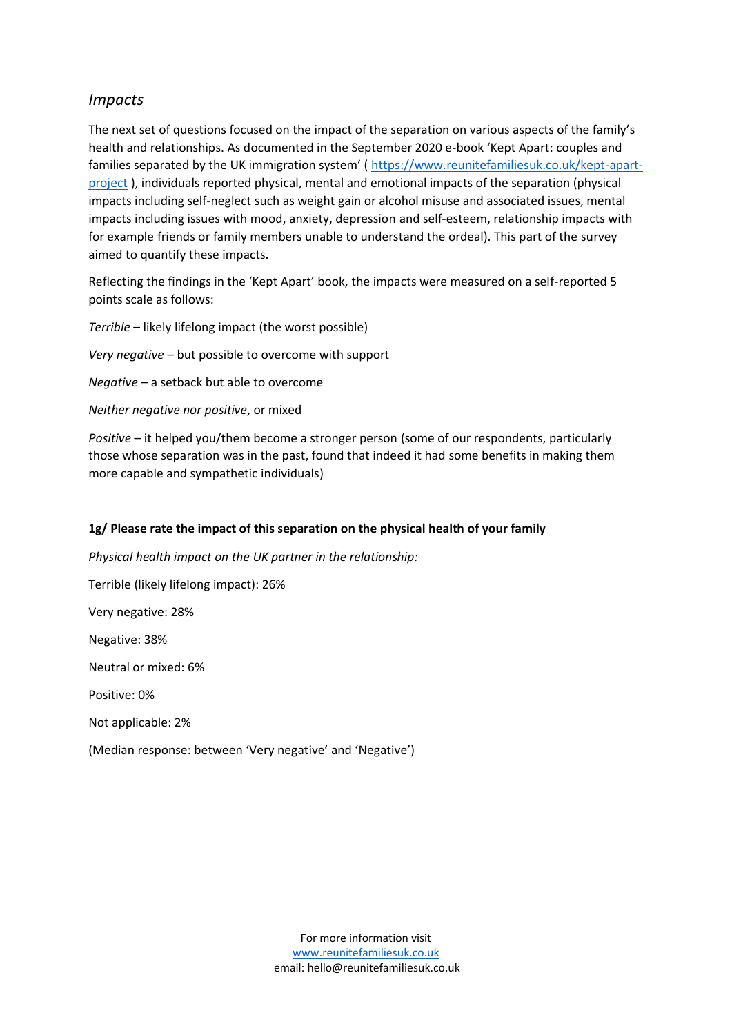### *Impacts*

The next set of questions focused on the impact of the separation on various aspects of the family's health and relationships. As documented in the September 2020 e-book 'Kept Apart: couples and families separated by the UK immigration system' ( [https://www.reunitefamiliesuk.co.uk/kept-apart](https://www.reunitefamiliesuk.co.uk/kept-apart-project)[project](https://www.reunitefamiliesuk.co.uk/kept-apart-project) ), individuals reported physical, mental and emotional impacts of the separation (physical impacts including self-neglect such as weight gain or alcohol misuse and associated issues, mental impacts including issues with mood, anxiety, depression and self-esteem, relationship impacts with for example friends or family members unable to understand the ordeal). This part of the survey aimed to quantify these impacts.

Reflecting the findings in the 'Kept Apart' book, the impacts were measured on a self-reported 5 points scale as follows:

*Terrible* – likely lifelong impact (the worst possible)

*Very negative* – but possible to overcome with support

*Negative* – a setback but able to overcome

*Neither negative nor positive*, or mixed

*Positive* – it helped you/them become a stronger person (some of our respondents, particularly those whose separation was in the past, found that indeed it had some benefits in making them more capable and sympathetic individuals)

### **1g/ Please rate the impact of this separation on the physical health of your family**

*Physical health impact on the UK partner in the relationship:*

Terrible (likely lifelong impact): 26%

Very negative: 28%

Negative: 38%

Neutral or mixed: 6%

Positive: 0%

Not applicable: 2%

(Median response: between 'Very negative' and 'Negative')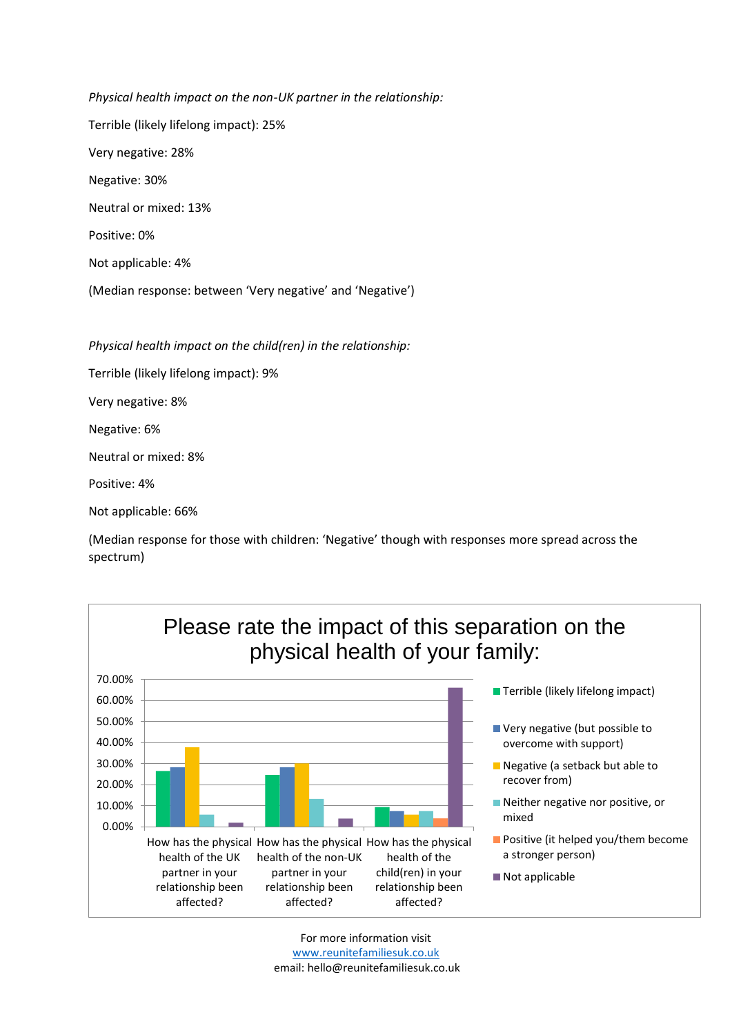*Physical health impact on the non-UK partner in the relationship:* Terrible (likely lifelong impact): 25% Very negative: 28% Negative: 30% Neutral or mixed: 13% Positive: 0% Not applicable: 4% (Median response: between 'Very negative' and 'Negative')

*Physical health impact on the child(ren) in the relationship:*

Terrible (likely lifelong impact): 9%

Very negative: 8%

Negative: 6%

Neutral or mixed: 8%

Positive: 4%

Not applicable: 66%

(Median response for those with children: 'Negative' though with responses more spread across the spectrum)

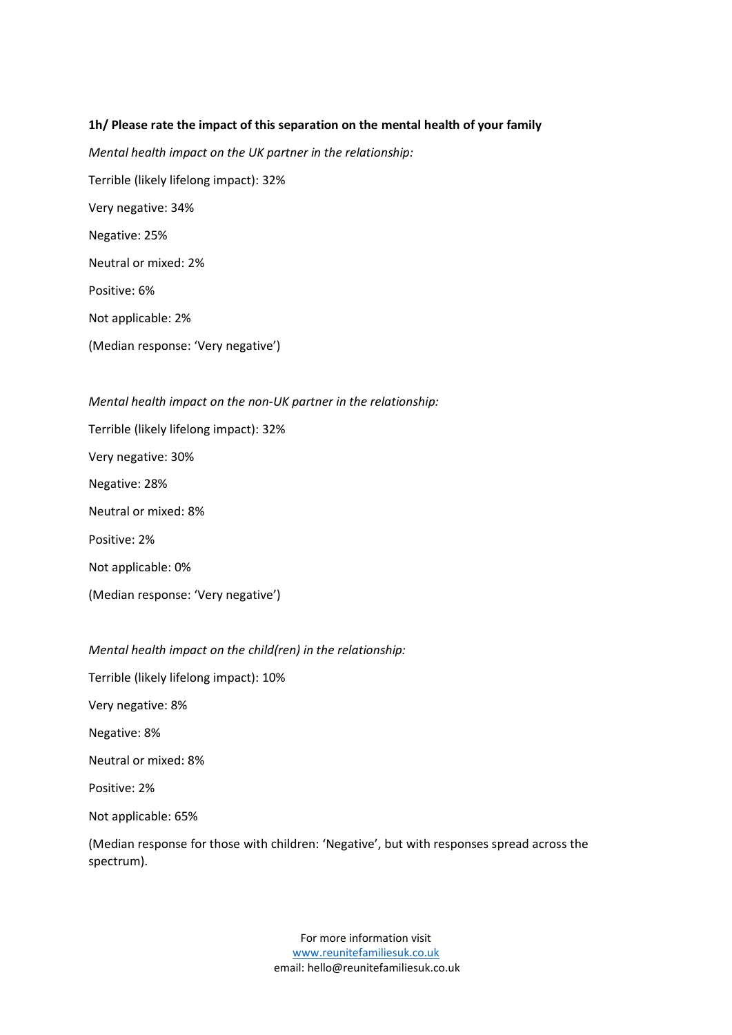#### **1h/ Please rate the impact of this separation on the mental health of your family**

*Mental health impact on the UK partner in the relationship:* Terrible (likely lifelong impact): 32% Very negative: 34% Negative: 25% Neutral or mixed: 2% Positive: 6% Not applicable: 2% (Median response: 'Very negative')

*Mental health impact on the non-UK partner in the relationship:* Terrible (likely lifelong impact): 32% Very negative: 30% Negative: 28% Neutral or mixed: 8% Positive: 2% Not applicable: 0% (Median response: 'Very negative')

*Mental health impact on the child(ren) in the relationship:*

Terrible (likely lifelong impact): 10%

Very negative: 8%

Negative: 8%

Neutral or mixed: 8%

Positive: 2%

Not applicable: 65%

(Median response for those with children: 'Negative', but with responses spread across the spectrum).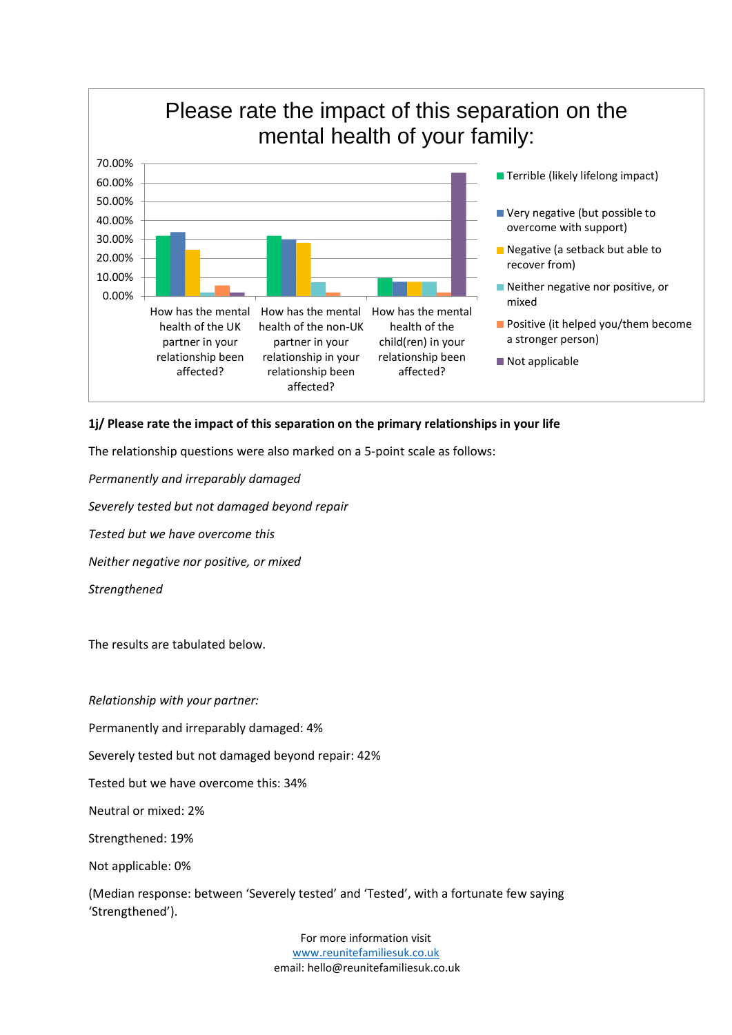

#### **1j/ Please rate the impact of this separation on the primary relationships in your life**

The relationship questions were also marked on a 5-point scale as follows:

*Permanently and irreparably damaged*

*Severely tested but not damaged beyond repair*

*Tested but we have overcome this*

*Neither negative nor positive, or mixed*

*Strengthened*

The results are tabulated below.

*Relationship with your partner:*

Permanently and irreparably damaged: 4%

Severely tested but not damaged beyond repair: 42%

Tested but we have overcome this: 34%

Neutral or mixed: 2%

Strengthened: 19%

Not applicable: 0%

(Median response: between 'Severely tested' and 'Tested', with a fortunate few saying 'Strengthened').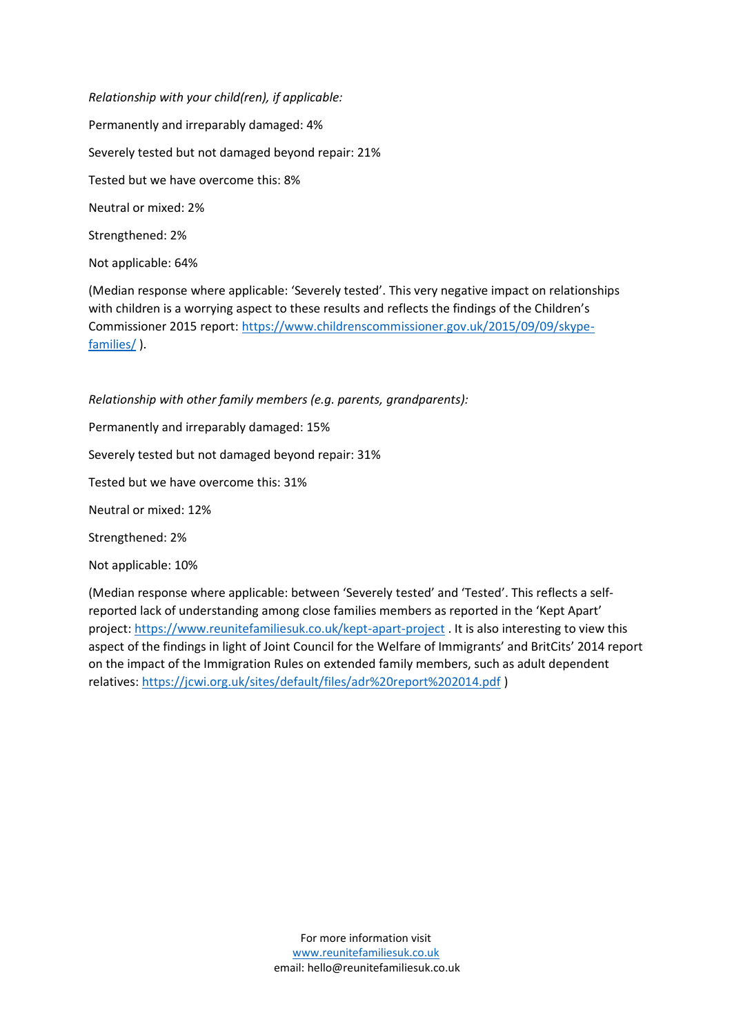*Relationship with your child(ren), if applicable:* Permanently and irreparably damaged: 4% Severely tested but not damaged beyond repair: 21% Tested but we have overcome this: 8% Neutral or mixed: 2% Strengthened: 2%

Not applicable: 64%

(Median response where applicable: 'Severely tested'. This very negative impact on relationships with children is a worrying aspect to these results and reflects the findings of the Children's Commissioner 2015 report: [https://www.childrenscommissioner.gov.uk/2015/09/09/skype](https://www.childrenscommissioner.gov.uk/2015/09/09/skype-families/)[families/](https://www.childrenscommissioner.gov.uk/2015/09/09/skype-families/) ).

*Relationship with other family members (e.g. parents, grandparents):*

Permanently and irreparably damaged: 15%

Severely tested but not damaged beyond repair: 31%

Tested but we have overcome this: 31%

Neutral or mixed: 12%

Strengthened: 2%

Not applicable: 10%

(Median response where applicable: between 'Severely tested' and 'Tested'. This reflects a selfreported lack of understanding among close families members as reported in the 'Kept Apart' project:<https://www.reunitefamiliesuk.co.uk/kept-apart-project> . It is also interesting to view this aspect of the findings in light of Joint Council for the Welfare of Immigrants' and BritCits' 2014 report on the impact of the Immigration Rules on extended family members, such as adult dependent relatives:<https://jcwi.org.uk/sites/default/files/adr%20report%202014.pdf> )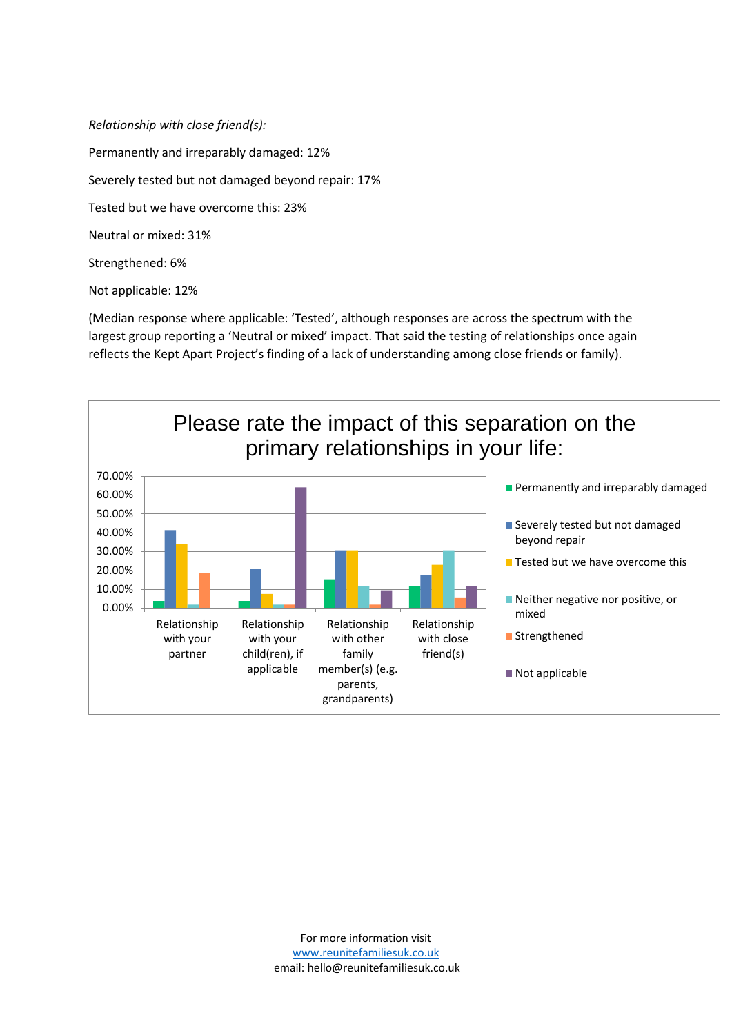*Relationship with close friend(s):* Permanently and irreparably damaged: 12% Severely tested but not damaged beyond repair: 17% Tested but we have overcome this: 23% Neutral or mixed: 31% Strengthened: 6%

Not applicable: 12%

(Median response where applicable: 'Tested', although responses are across the spectrum with the largest group reporting a 'Neutral or mixed' impact. That said the testing of relationships once again reflects the Kept Apart Project's finding of a lack of understanding among close friends or family).

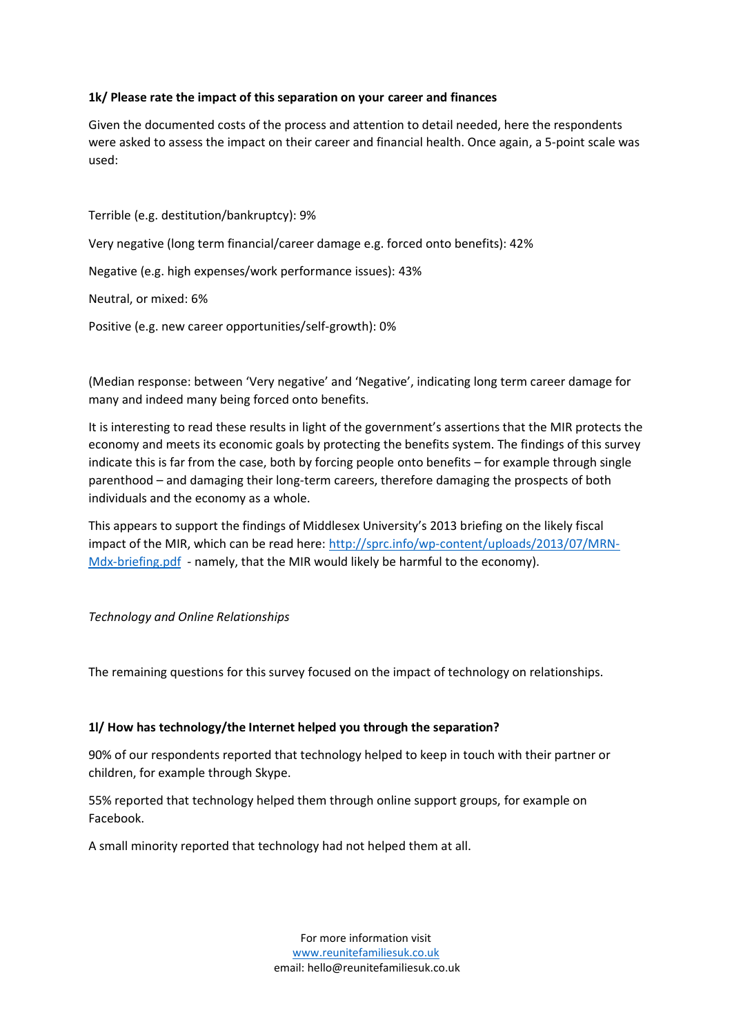### **1k/ Please rate the impact of this separation on your career and finances**

Given the documented costs of the process and attention to detail needed, here the respondents were asked to assess the impact on their career and financial health. Once again, a 5-point scale was used:

Terrible (e.g. destitution/bankruptcy): 9% Very negative (long term financial/career damage e.g. forced onto benefits): 42% Negative (e.g. high expenses/work performance issues): 43% Neutral, or mixed: 6% Positive (e.g. new career opportunities/self-growth): 0%

(Median response: between 'Very negative' and 'Negative', indicating long term career damage for many and indeed many being forced onto benefits.

It is interesting to read these results in light of the government's assertions that the MIR protects the economy and meets its economic goals by protecting the benefits system. The findings of this survey indicate this is far from the case, both by forcing people onto benefits – for example through single parenthood – and damaging their long-term careers, therefore damaging the prospects of both individuals and the economy as a whole.

This appears to support the findings of Middlesex University's 2013 briefing on the likely fiscal impact of the MIR, which can be read here: [http://sprc.info/wp-content/uploads/2013/07/MRN-](http://sprc.info/wp-content/uploads/2013/07/MRN-Mdx-briefing.pdf)[Mdx-briefing.pdf](http://sprc.info/wp-content/uploads/2013/07/MRN-Mdx-briefing.pdf) - namely, that the MIR would likely be harmful to the economy).

#### *Technology and Online Relationships*

The remaining questions for this survey focused on the impact of technology on relationships.

#### **1l/ How has technology/the Internet helped you through the separation?**

90% of our respondents reported that technology helped to keep in touch with their partner or children, for example through Skype.

55% reported that technology helped them through online support groups, for example on Facebook.

A small minority reported that technology had not helped them at all.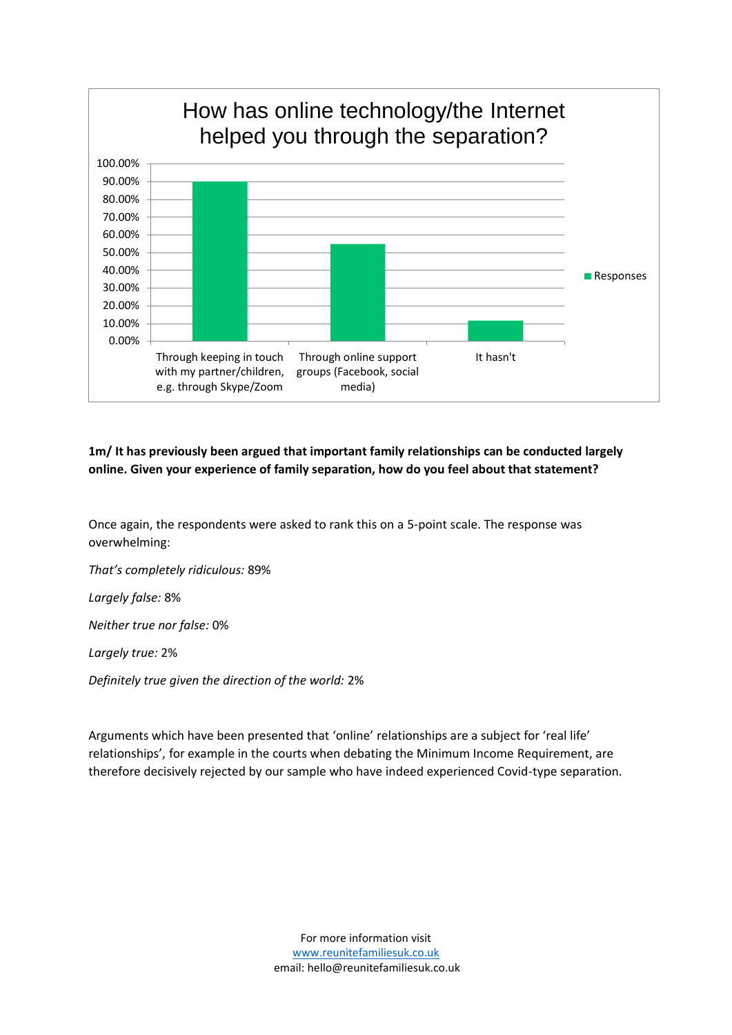

### **1m/ It has previously been argued that important family relationships can be conducted largely online. Given your experience of family separation, how do you feel about that statement?**

Once again, the respondents were asked to rank this on a 5-point scale. The response was overwhelming:

*That's completely ridiculous:* 89%

*Largely false:* 8%

*Neither true nor false:* 0%

*Largely true:* 2%

*Definitely true given the direction of the world:* 2%

Arguments which have been presented that 'online' relationships are a subject for 'real life' relationships', for example in the courts when debating the Minimum Income Requirement, are therefore decisively rejected by our sample who have indeed experienced Covid-type separation.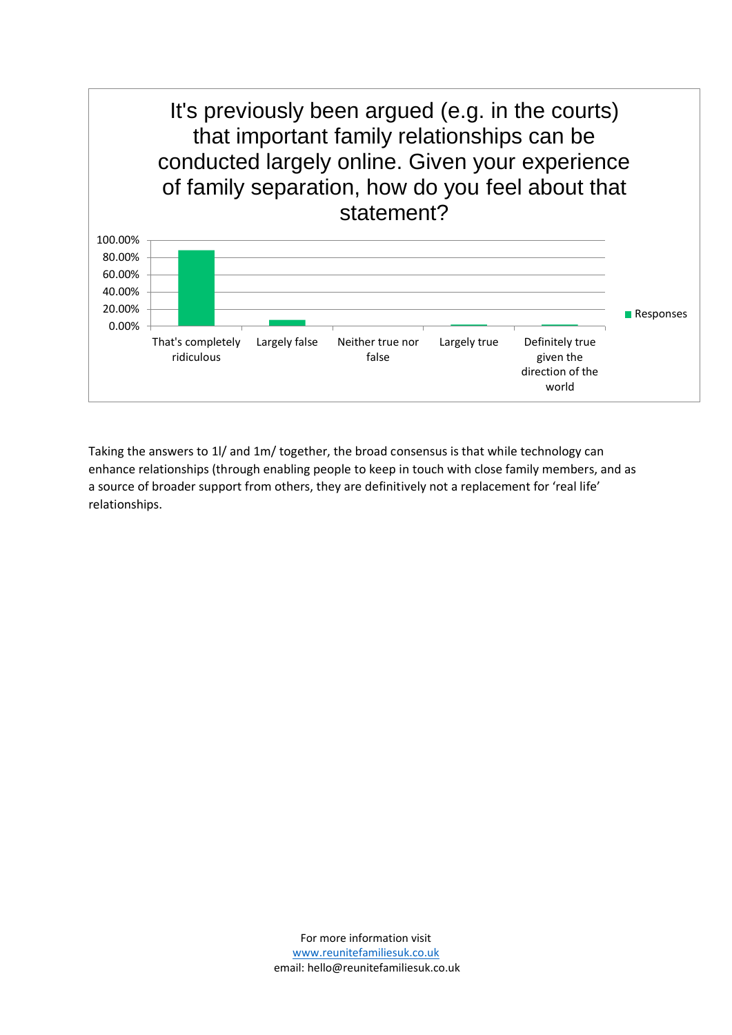That's completely ridiculous Largely false Neither true nor false Largely true Definitely true given the direction of the world 0.00% 20.00% 40.00% 60.00% 80.00% 100.00% It's previously been argued (e.g. in the courts) that important family relationships can be conducted largely online. Given your experience of family separation, how do you feel about that statement? **Responses** 

<span id="page-14-0"></span>Taking the answers to 1l/ and 1m/ together, the broad consensus is that while technology can enhance relationships (through enabling people to keep in touch with close family members, and as a source of broader support from others, they are definitively not a replacement for 'real life' relationships.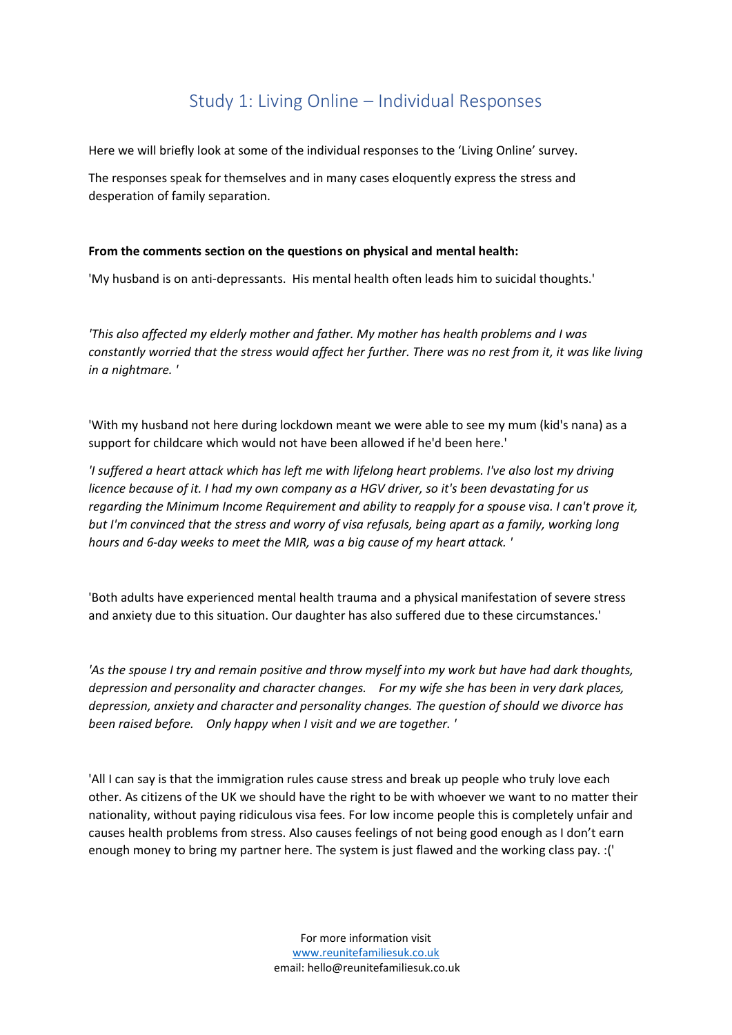## Study 1: Living Online – Individual Responses

Here we will briefly look at some of the individual responses to the 'Living Online' survey.

The responses speak for themselves and in many cases eloquently express the stress and desperation of family separation.

#### **From the comments section on the questions on physical and mental health:**

'My husband is on anti-depressants. His mental health often leads him to suicidal thoughts.'

*'This also affected my elderly mother and father. My mother has health problems and I was constantly worried that the stress would affect her further. There was no rest from it, it was like living in a nightmare. '*

'With my husband not here during lockdown meant we were able to see my mum (kid's nana) as a support for childcare which would not have been allowed if he'd been here.'

*'I suffered a heart attack which has left me with lifelong heart problems. I've also lost my driving licence because of it. I had my own company as a HGV driver, so it's been devastating for us regarding the Minimum Income Requirement and ability to reapply for a spouse visa. I can't prove it, but I'm convinced that the stress and worry of visa refusals, being apart as a family, working long hours and 6-day weeks to meet the MIR, was a big cause of my heart attack. '*

'Both adults have experienced mental health trauma and a physical manifestation of severe stress and anxiety due to this situation. Our daughter has also suffered due to these circumstances.'

*'As the spouse I try and remain positive and throw myself into my work but have had dark thoughts, depression and personality and character changes. For my wife she has been in very dark places, depression, anxiety and character and personality changes. The question of should we divorce has been raised before. Only happy when I visit and we are together. '*

'All I can say is that the immigration rules cause stress and break up people who truly love each other. As citizens of the UK we should have the right to be with whoever we want to no matter their nationality, without paying ridiculous visa fees. For low income people this is completely unfair and causes health problems from stress. Also causes feelings of not being good enough as I don't earn enough money to bring my partner here. The system is just flawed and the working class pay. :('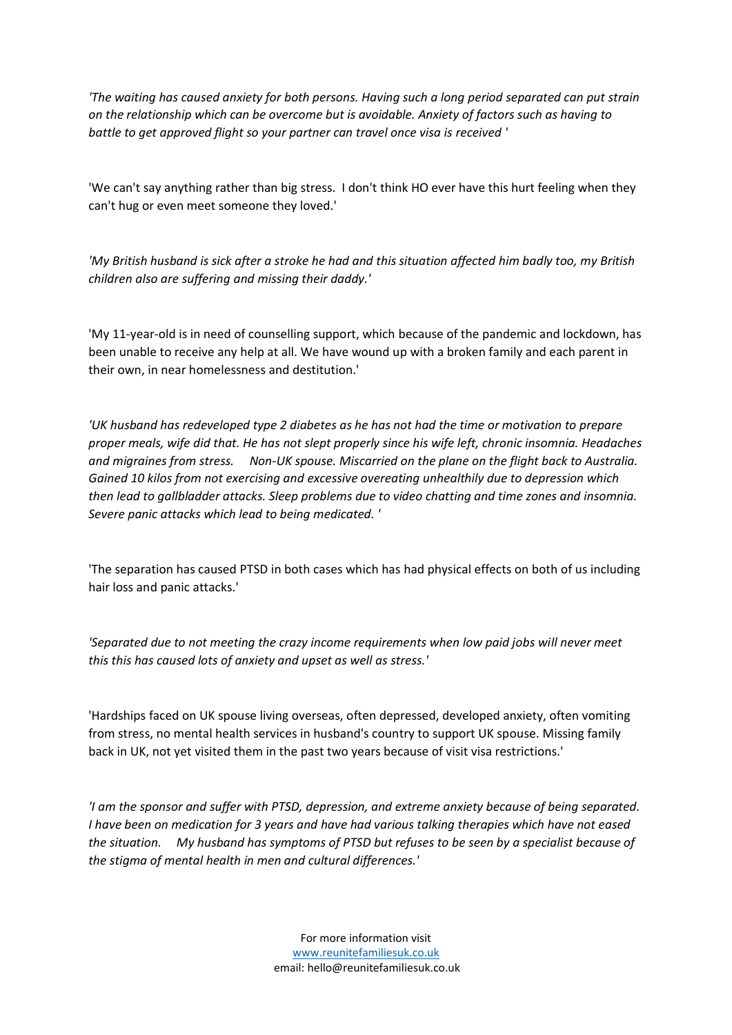*'The waiting has caused anxiety for both persons. Having such a long period separated can put strain on the relationship which can be overcome but is avoidable. Anxiety of factors such as having to battle to get approved flight so your partner can travel once visa is received '*

'We can't say anything rather than big stress. I don't think HO ever have this hurt feeling when they can't hug or even meet someone they loved.'

*'My British husband is sick after a stroke he had and this situation affected him badly too, my British children also are suffering and missing their daddy.'*

'My 11-year-old is in need of counselling support, which because of the pandemic and lockdown, has been unable to receive any help at all. We have wound up with a broken family and each parent in their own, in near homelessness and destitution.'

*'UK husband has redeveloped type 2 diabetes as he has not had the time or motivation to prepare proper meals, wife did that. He has not slept properly since his wife left, chronic insomnia. Headaches and migraines from stress. Non-UK spouse. Miscarried on the plane on the flight back to Australia. Gained 10 kilos from not exercising and excessive overeating unhealthily due to depression which then lead to gallbladder attacks. Sleep problems due to video chatting and time zones and insomnia. Severe panic attacks which lead to being medicated. '*

'The separation has caused PTSD in both cases which has had physical effects on both of us including hair loss and panic attacks.'

*'Separated due to not meeting the crazy income requirements when low paid jobs will never meet this this has caused lots of anxiety and upset as well as stress.'*

'Hardships faced on UK spouse living overseas, often depressed, developed anxiety, often vomiting from stress, no mental health services in husband's country to support UK spouse. Missing family back in UK, not yet visited them in the past two years because of visit visa restrictions.'

*'I am the sponsor and suffer with PTSD, depression, and extreme anxiety because of being separated. I have been on medication for 3 years and have had various talking therapies which have not eased the situation. My husband has symptoms of PTSD but refuses to be seen by a specialist because of the stigma of mental health in men and cultural differences.'*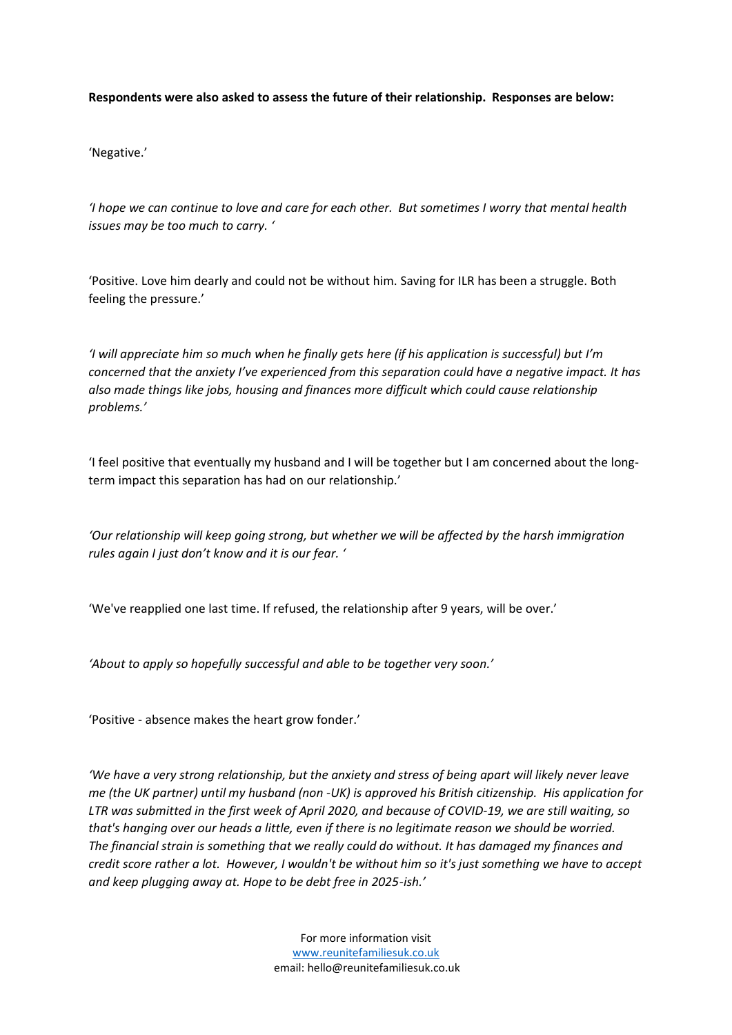**Respondents were also asked to assess the future of their relationship. Responses are below:**

'Negative.'

*'I hope we can continue to love and care for each other. But sometimes I worry that mental health issues may be too much to carry. '*

'Positive. Love him dearly and could not be without him. Saving for ILR has been a struggle. Both feeling the pressure.'

*'I will appreciate him so much when he finally gets here (if his application is successful) but I'm concerned that the anxiety I've experienced from this separation could have a negative impact. It has also made things like jobs, housing and finances more difficult which could cause relationship problems.'*

'I feel positive that eventually my husband and I will be together but I am concerned about the longterm impact this separation has had on our relationship.'

*'Our relationship will keep going strong, but whether we will be affected by the harsh immigration rules again I just don't know and it is our fear. '*

'We've reapplied one last time. If refused, the relationship after 9 years, will be over.'

*'About to apply so hopefully successful and able to be together very soon.'*

'Positive - absence makes the heart grow fonder.'

*'We have a very strong relationship, but the anxiety and stress of being apart will likely never leave me (the UK partner) until my husband (non -UK) is approved his British citizenship. His application for LTR was submitted in the first week of April 2020, and because of COVID-19, we are still waiting, so that's hanging over our heads a little, even if there is no legitimate reason we should be worried. The financial strain is something that we really could do without. It has damaged my finances and credit score rather a lot. However, I wouldn't be without him so it's just something we have to accept and keep plugging away at. Hope to be debt free in 2025-ish.'*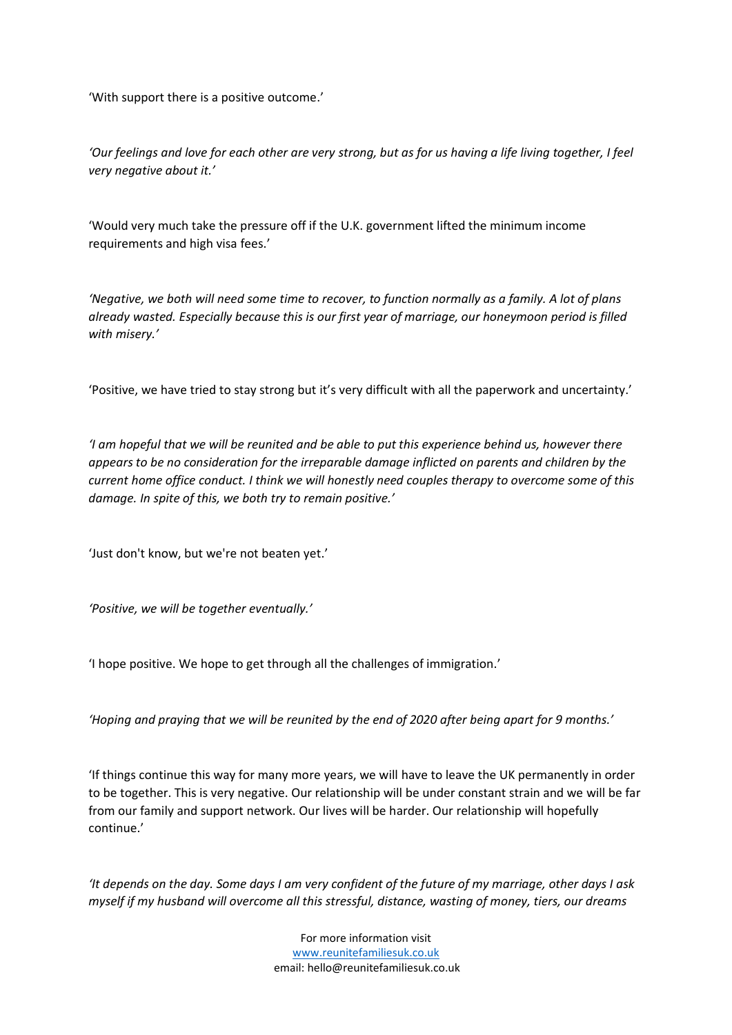'With support there is a positive outcome.'

*'Our feelings and love for each other are very strong, but as for us having a life living together, I feel very negative about it.'*

'Would very much take the pressure off if the U.K. government lifted the minimum income requirements and high visa fees.'

*'Negative, we both will need some time to recover, to function normally as a family. A lot of plans already wasted. Especially because this is our first year of marriage, our honeymoon period is filled with misery.'*

'Positive, we have tried to stay strong but it's very difficult with all the paperwork and uncertainty.'

*'I am hopeful that we will be reunited and be able to put this experience behind us, however there appears to be no consideration for the irreparable damage inflicted on parents and children by the current home office conduct. I think we will honestly need couples therapy to overcome some of this damage. In spite of this, we both try to remain positive.'*

'Just don't know, but we're not beaten yet.'

*'Positive, we will be together eventually.'*

'I hope positive. We hope to get through all the challenges of immigration.'

*'Hoping and praying that we will be reunited by the end of 2020 after being apart for 9 months.'*

'If things continue this way for many more years, we will have to leave the UK permanently in order to be together. This is very negative. Our relationship will be under constant strain and we will be far from our family and support network. Our lives will be harder. Our relationship will hopefully continue.'

*'It depends on the day. Some days I am very confident of the future of my marriage, other days I ask myself if my husband will overcome all this stressful, distance, wasting of money, tiers, our dreams*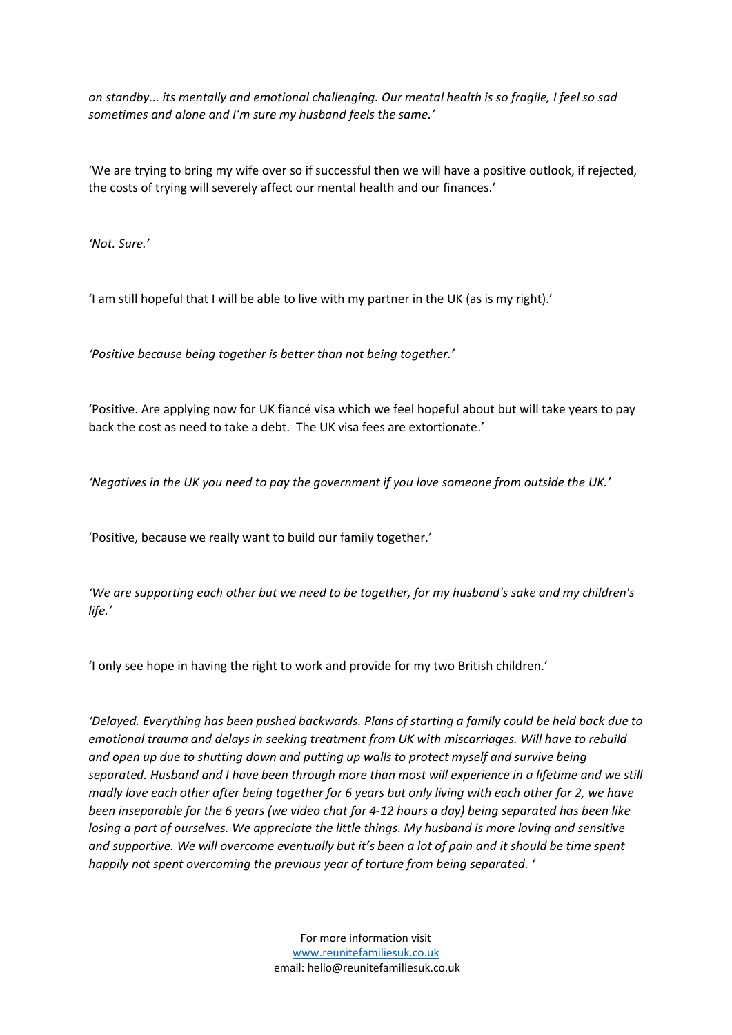*on standby... its mentally and emotional challenging. Our mental health is so fragile, I feel so sad sometimes and alone and I'm sure my husband feels the same.'*

'We are trying to bring my wife over so if successful then we will have a positive outlook, if rejected, the costs of trying will severely affect our mental health and our finances.'

*'Not. Sure.'*

'I am still hopeful that I will be able to live with my partner in the UK (as is my right).'

*'Positive because being together is better than not being together.'*

'Positive. Are applying now for UK fiancé visa which we feel hopeful about but will take years to pay back the cost as need to take a debt. The UK visa fees are extortionate.'

*'Negatives in the UK you need to pay the government if you love someone from outside the UK.'*

'Positive, because we really want to build our family together.'

*'We are supporting each other but we need to be together, for my husband's sake and my children's life.'*

'I only see hope in having the right to work and provide for my two British children.'

*'Delayed. Everything has been pushed backwards. Plans of starting a family could be held back due to emotional trauma and delays in seeking treatment from UK with miscarriages. Will have to rebuild and open up due to shutting down and putting up walls to protect myself and survive being separated. Husband and I have been through more than most will experience in a lifetime and we still madly love each other after being together for 6 years but only living with each other for 2, we have been inseparable for the 6 years (we video chat for 4-12 hours a day) being separated has been like losing a part of ourselves. We appreciate the little things. My husband is more loving and sensitive*  and supportive. We will overcome eventually but it's been a lot of pain and it should be time spent *happily not spent overcoming the previous year of torture from being separated. '*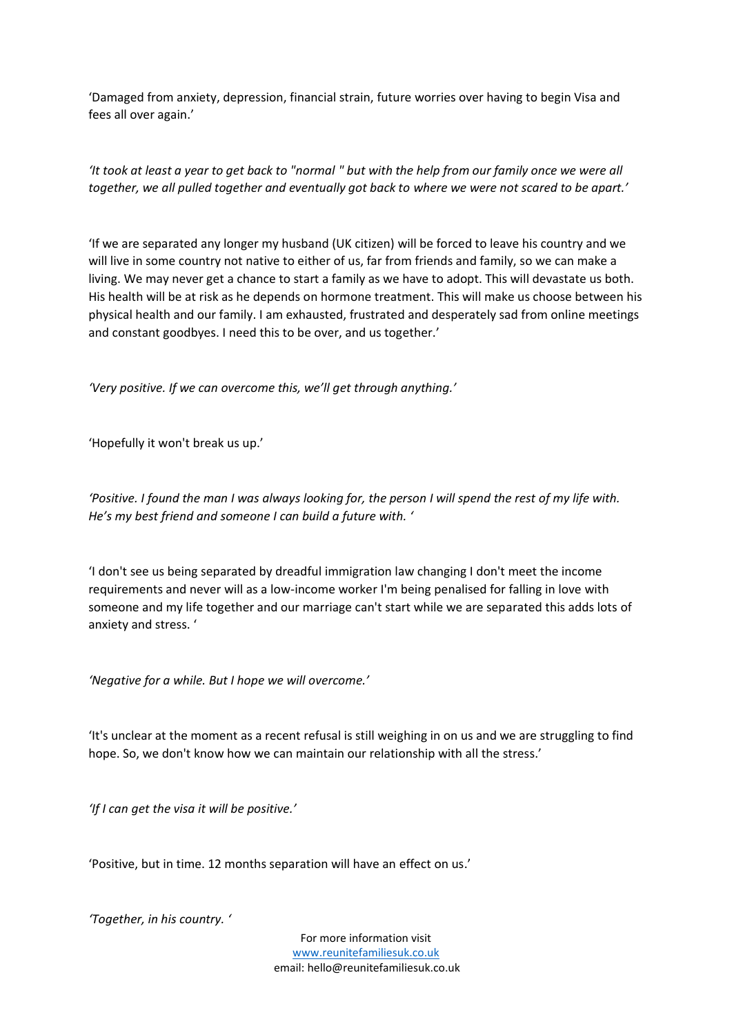'Damaged from anxiety, depression, financial strain, future worries over having to begin Visa and fees all over again.'

*'It took at least a year to get back to "normal " but with the help from our family once we were all together, we all pulled together and eventually got back to where we were not scared to be apart.'*

'If we are separated any longer my husband (UK citizen) will be forced to leave his country and we will live in some country not native to either of us, far from friends and family, so we can make a living. We may never get a chance to start a family as we have to adopt. This will devastate us both. His health will be at risk as he depends on hormone treatment. This will make us choose between his physical health and our family. I am exhausted, frustrated and desperately sad from online meetings and constant goodbyes. I need this to be over, and us together.'

*'Very positive. If we can overcome this, we'll get through anything.'*

'Hopefully it won't break us up.'

*'Positive. I found the man I was always looking for, the person I will spend the rest of my life with. He's my best friend and someone I can build a future with. '*

'I don't see us being separated by dreadful immigration law changing I don't meet the income requirements and never will as a low-income worker I'm being penalised for falling in love with someone and my life together and our marriage can't start while we are separated this adds lots of anxiety and stress. '

*'Negative for a while. But I hope we will overcome.'*

'It's unclear at the moment as a recent refusal is still weighing in on us and we are struggling to find hope. So, we don't know how we can maintain our relationship with all the stress.'

*'If I can get the visa it will be positive.'*

'Positive, but in time. 12 months separation will have an effect on us.'

*'Together, in his country. '*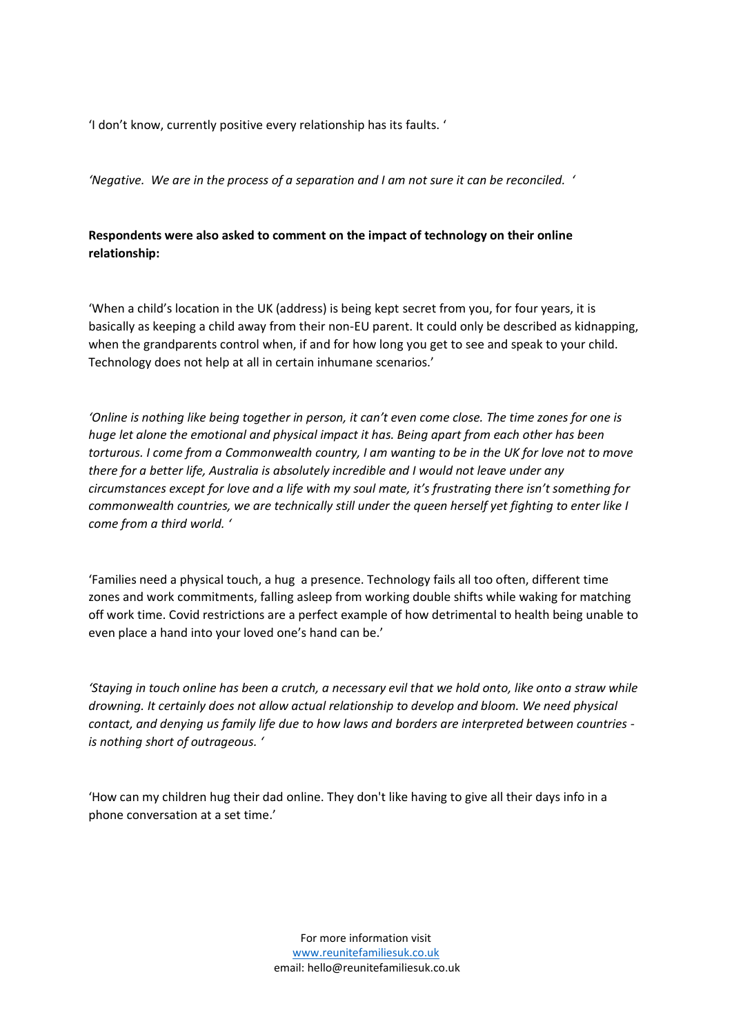'I don't know, currently positive every relationship has its faults. '

*'Negative. We are in the process of a separation and I am not sure it can be reconciled. '*

### **Respondents were also asked to comment on the impact of technology on their online relationship:**

'When a child's location in the UK (address) is being kept secret from you, for four years, it is basically as keeping a child away from their non-EU parent. It could only be described as kidnapping, when the grandparents control when, if and for how long you get to see and speak to your child. Technology does not help at all in certain inhumane scenarios.'

*'Online is nothing like being together in person, it can't even come close. The time zones for one is huge let alone the emotional and physical impact it has. Being apart from each other has been torturous. I come from a Commonwealth country, I am wanting to be in the UK for love not to move there for a better life, Australia is absolutely incredible and I would not leave under any circumstances except for love and a life with my soul mate, it's frustrating there isn't something for commonwealth countries, we are technically still under the queen herself yet fighting to enter like I come from a third world. '*

'Families need a physical touch, a hug a presence. Technology fails all too often, different time zones and work commitments, falling asleep from working double shifts while waking for matching off work time. Covid restrictions are a perfect example of how detrimental to health being unable to even place a hand into your loved one's hand can be.'

*'Staying in touch online has been a crutch, a necessary evil that we hold onto, like onto a straw while drowning. It certainly does not allow actual relationship to develop and bloom. We need physical contact, and denying us family life due to how laws and borders are interpreted between countries is nothing short of outrageous. '*

'How can my children hug their dad online. They don't like having to give all their days info in a phone conversation at a set time.'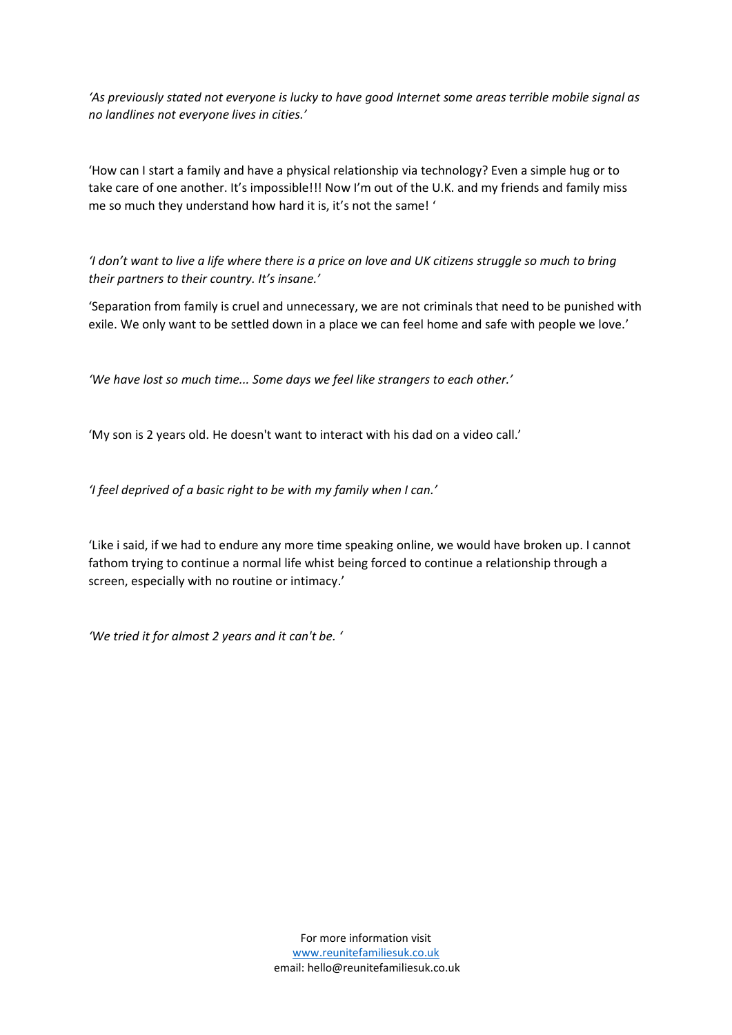*'As previously stated not everyone is lucky to have good Internet some areas terrible mobile signal as no landlines not everyone lives in cities.'*

'How can I start a family and have a physical relationship via technology? Even a simple hug or to take care of one another. It's impossible!!! Now I'm out of the U.K. and my friends and family miss me so much they understand how hard it is, it's not the same! '

*'I don't want to live a life where there is a price on love and UK citizens struggle so much to bring their partners to their country. It's insane.'*

'Separation from family is cruel and unnecessary, we are not criminals that need to be punished with exile. We only want to be settled down in a place we can feel home and safe with people we love.'

*'We have lost so much time... Some days we feel like strangers to each other.'*

'My son is 2 years old. He doesn't want to interact with his dad on a video call.'

*'I feel deprived of a basic right to be with my family when I can.'*

'Like i said, if we had to endure any more time speaking online, we would have broken up. I cannot fathom trying to continue a normal life whist being forced to continue a relationship through a screen, especially with no routine or intimacy.'

*'We tried it for almost 2 years and it can't be. '*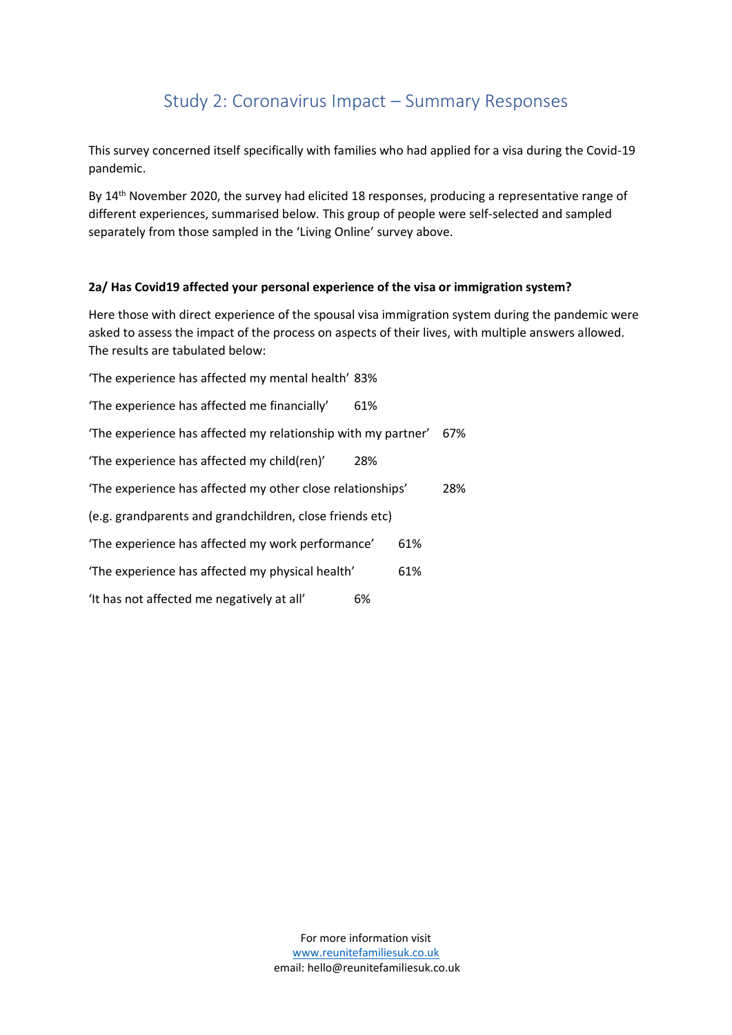# Study 2: Coronavirus Impact – Summary Responses

This survey concerned itself specifically with families who had applied for a visa during the Covid-19 pandemic.

By 14<sup>th</sup> November 2020, the survey had elicited 18 responses, producing a representative range of different experiences, summarised below. This group of people were self-selected and sampled separately from those sampled in the 'Living Online' survey above.

### **2a/ Has Covid19 affected your personal experience of the visa or immigration system?**

Here those with direct experience of the spousal visa immigration system during the pandemic were asked to assess the impact of the process on aspects of their lives, with multiple answers allowed. The results are tabulated below:

| 'The experience has affected my mental health' 83%            |     |     |     |
|---------------------------------------------------------------|-----|-----|-----|
| 'The experience has affected me financially'                  | 61% |     |     |
| 'The experience has affected my relationship with my partner' |     |     | 67% |
| 'The experience has affected my child(ren)'                   | 28% |     |     |
| 'The experience has affected my other close relationships'    |     |     | 28% |
| (e.g. grandparents and grandchildren, close friends etc)      |     |     |     |
| 'The experience has affected my work performance'             |     | 61% |     |
| 'The experience has affected my physical health'              |     | 61% |     |
| 'It has not affected me negatively at all'                    | 6%  |     |     |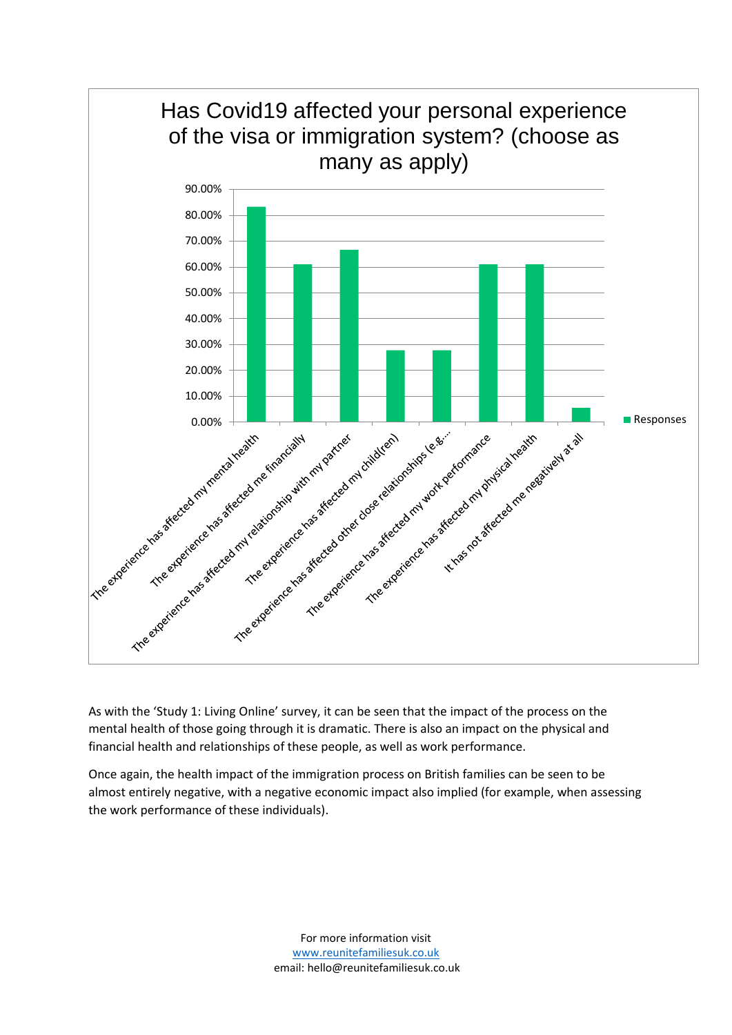

As with the 'Study 1: Living Online' survey, it can be seen that the impact of the process on the mental health of those going through it is dramatic. There is also an impact on the physical and financial health and relationships of these people, as well as work performance.

Once again, the health impact of the immigration process on British families can be seen to be almost entirely negative, with a negative economic impact also implied (for example, when assessing the work performance of these individuals).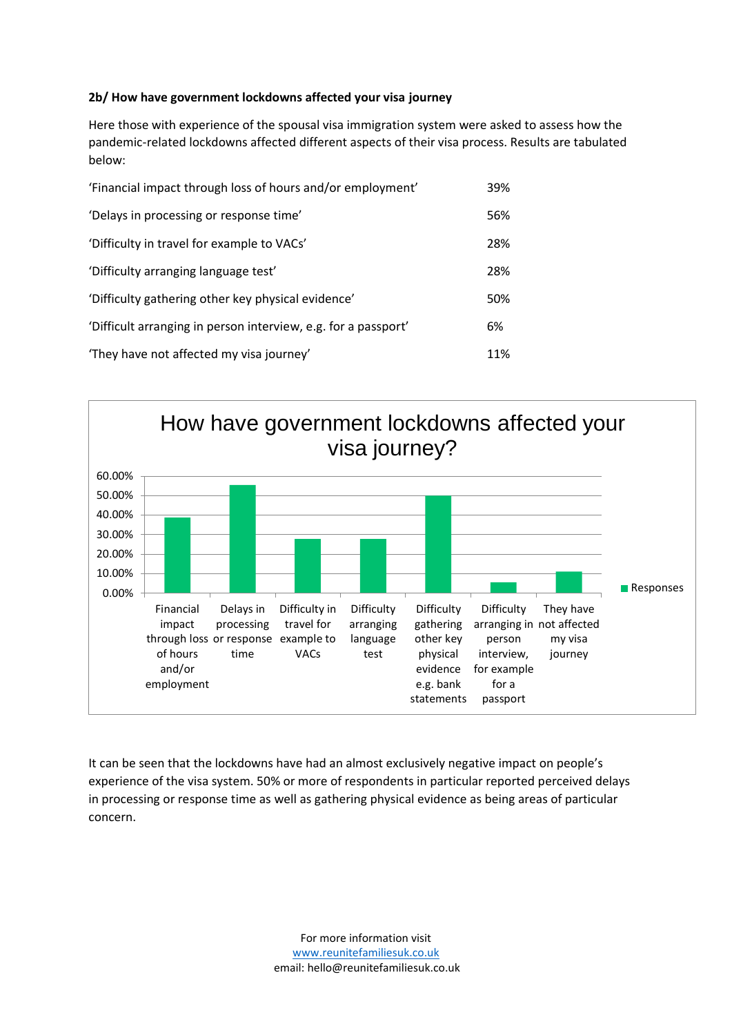### **2b/ How have government lockdowns affected your visa journey**

Here those with experience of the spousal visa immigration system were asked to assess how the pandemic-related lockdowns affected different aspects of their visa process. Results are tabulated below:

| 'Financial impact through loss of hours and/or employment'     | 39% |
|----------------------------------------------------------------|-----|
| 'Delays in processing or response time'                        | 56% |
| 'Difficulty in travel for example to VACs'                     | 28% |
| 'Difficulty arranging language test'                           | 28% |
| 'Difficulty gathering other key physical evidence'             | 50% |
| 'Difficult arranging in person interview, e.g. for a passport' | 6%  |
| 'They have not affected my visa journey'                       | 11% |



It can be seen that the lockdowns have had an almost exclusively negative impact on people's experience of the visa system. 50% or more of respondents in particular reported perceived delays in processing or response time as well as gathering physical evidence as being areas of particular concern.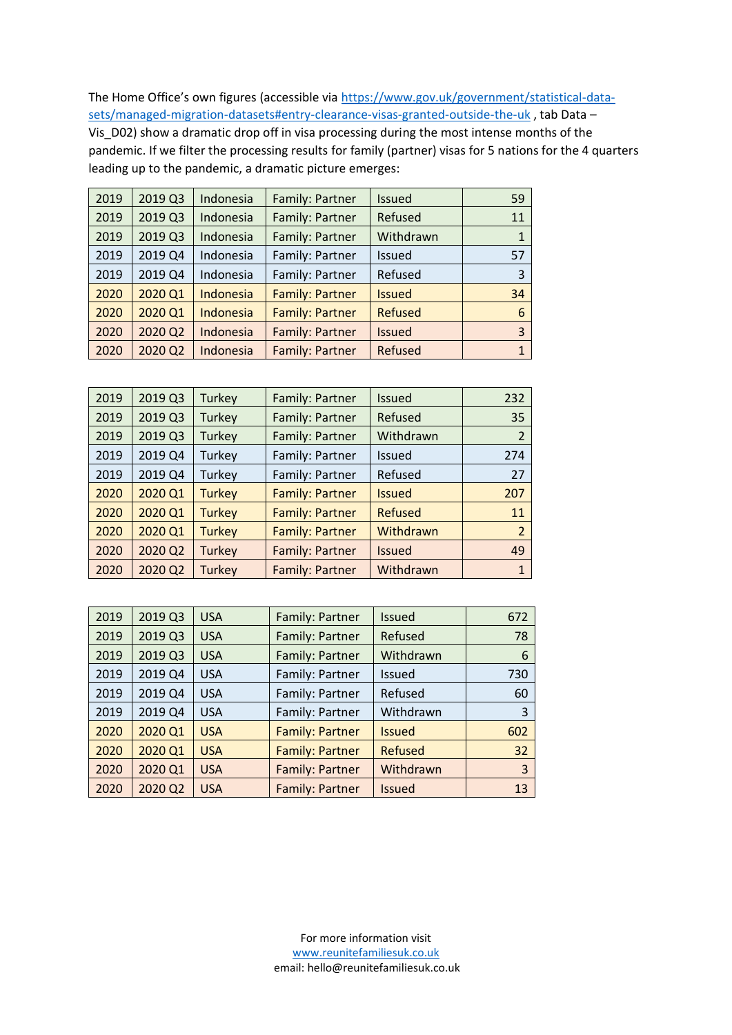The Home Office's own figures (accessible via [https://www.gov.uk/government/statistical-data](https://www.gov.uk/government/statistical-data-sets/managed-migration-datasets#entry-clearance-visas-granted-outside-the-uk)[sets/managed-migration-datasets#entry-clearance-visas-granted-outside-the-uk](https://www.gov.uk/government/statistical-data-sets/managed-migration-datasets#entry-clearance-visas-granted-outside-the-uk), tab Data – Vis\_D02) show a dramatic drop off in visa processing during the most intense months of the pandemic. If we filter the processing results for family (partner) visas for 5 nations for the 4 quarters leading up to the pandemic, a dramatic picture emerges:

| 2019 | 2019 Q3 | Indonesia | Family: Partner        | Issued         | 59           |
|------|---------|-----------|------------------------|----------------|--------------|
| 2019 | 2019 Q3 | Indonesia | Family: Partner        | Refused        | 11           |
| 2019 | 2019 Q3 | Indonesia | Family: Partner        | Withdrawn      | $\mathbf{1}$ |
| 2019 | 2019 Q4 | Indonesia | Family: Partner        | Issued         | 57           |
| 2019 | 2019 Q4 | Indonesia | Family: Partner        | Refused        | 3            |
| 2020 | 2020 Q1 | Indonesia | <b>Family: Partner</b> | <b>Issued</b>  | 34           |
| 2020 | 2020 Q1 | Indonesia | <b>Family: Partner</b> | <b>Refused</b> | 6            |
| 2020 | 2020 Q2 | Indonesia | Family: Partner        | <b>Issued</b>  | 3            |
| 2020 | 2020 Q2 | Indonesia | Family: Partner        | Refused        | $\mathbf{1}$ |
|      |         |           |                        |                |              |

| 2019 | 2019 Q3 | Turkey        | Family: Partner        | <b>Issued</b>  | 232            |
|------|---------|---------------|------------------------|----------------|----------------|
| 2019 | 2019 Q3 | Turkey        | Family: Partner        | Refused        | 35             |
| 2019 | 2019 Q3 | Turkey        | Family: Partner        | Withdrawn      | 2              |
| 2019 | 2019 Q4 | Turkey        | Family: Partner        | Issued         | 274            |
| 2019 | 2019 Q4 | Turkey        | Family: Partner        | Refused        | 27             |
| 2020 | 2020 Q1 | <b>Turkey</b> | <b>Family: Partner</b> | <b>Issued</b>  | 207            |
| 2020 | 2020 Q1 | <b>Turkey</b> | Family: Partner        | <b>Refused</b> | 11             |
| 2020 | 2020 Q1 | <b>Turkey</b> | <b>Family: Partner</b> | Withdrawn      | $\overline{2}$ |
| 2020 | 2020 Q2 | <b>Turkey</b> | Family: Partner        | <b>Issued</b>  | 49             |
| 2020 | 2020 Q2 | <b>Turkey</b> | Family: Partner        | Withdrawn      | 1              |

| 2019 | 2019 Q3 | <b>USA</b> | Family: Partner        | <b>Issued</b>  | 672 |
|------|---------|------------|------------------------|----------------|-----|
| 2019 | 2019 Q3 | <b>USA</b> | Family: Partner        | Refused        | 78  |
| 2019 | 2019 Q3 | <b>USA</b> | Family: Partner        | Withdrawn      | 6   |
| 2019 | 2019 Q4 | <b>USA</b> | Family: Partner        | Issued         | 730 |
| 2019 | 2019 Q4 | <b>USA</b> | Family: Partner        | Refused        | 60  |
| 2019 | 2019 Q4 | <b>USA</b> | Family: Partner        | Withdrawn      | 3   |
| 2020 | 2020 Q1 | <b>USA</b> | <b>Family: Partner</b> | <b>Issued</b>  | 602 |
| 2020 | 2020 Q1 | <b>USA</b> | <b>Family: Partner</b> | <b>Refused</b> | 32  |
| 2020 | 2020 Q1 | <b>USA</b> | Family: Partner        | Withdrawn      | 3   |
| 2020 | 2020 Q2 | <b>USA</b> | Family: Partner        | <b>Issued</b>  | 13  |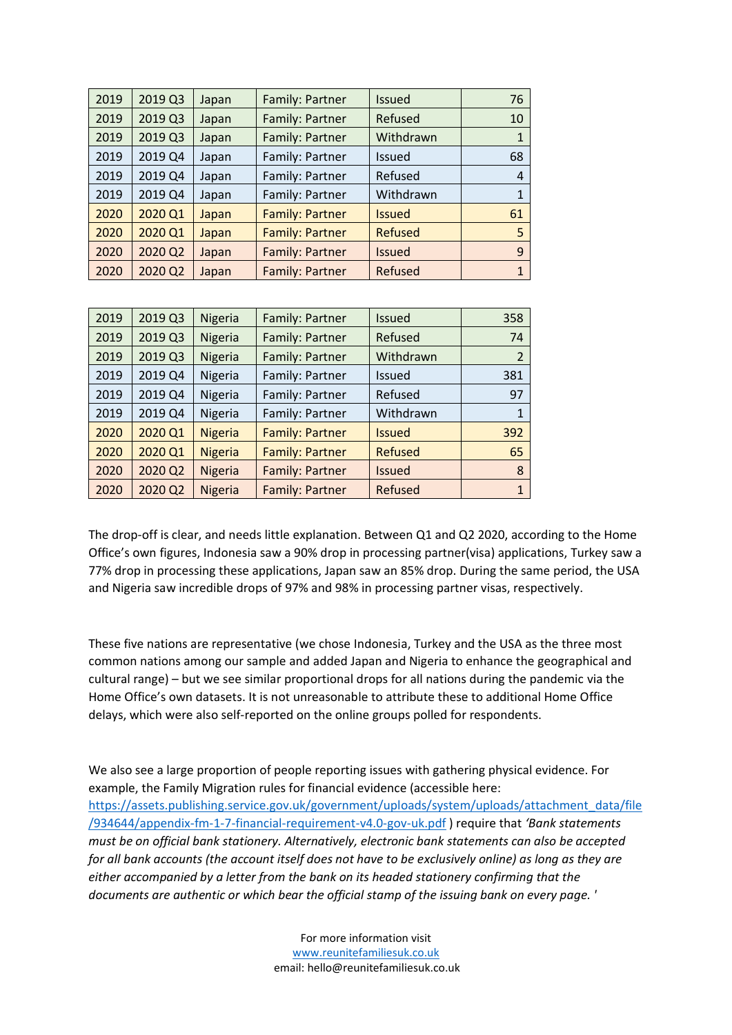| 2019 | 2019 Q3 | Japan | Family: Partner        | <b>Issued</b>  | 76 |
|------|---------|-------|------------------------|----------------|----|
| 2019 | 2019 Q3 | Japan | Family: Partner        | Refused        | 10 |
| 2019 | 2019 Q3 | Japan | Family: Partner        | Withdrawn      |    |
| 2019 | 2019 Q4 | Japan | Family: Partner        | <b>Issued</b>  | 68 |
| 2019 | 2019 Q4 | Japan | Family: Partner        | Refused        | 4  |
| 2019 | 2019 Q4 | Japan | Family: Partner        | Withdrawn      |    |
| 2020 | 2020 Q1 | Japan | <b>Family: Partner</b> | <b>Issued</b>  | 61 |
| 2020 | 2020 Q1 | Japan | <b>Family: Partner</b> | <b>Refused</b> | 5  |
| 2020 | 2020 Q2 | Japan | <b>Family: Partner</b> | <b>Issued</b>  | 9  |
| 2020 | 2020 Q2 | Japan | Family: Partner        | Refused        | 1  |

| 2019 | 2019 Q3 | Nigeria        | Family: Partner        | <b>Issued</b>  | 358                      |
|------|---------|----------------|------------------------|----------------|--------------------------|
| 2019 | 2019 Q3 | Nigeria        | Family: Partner        | Refused        | 74                       |
| 2019 | 2019 Q3 | Nigeria        | Family: Partner        | Withdrawn      | $\overline{\mathcal{L}}$ |
| 2019 | 2019 Q4 | Nigeria        | Family: Partner        | <b>Issued</b>  | 381                      |
| 2019 | 2019 Q4 | Nigeria        | Family: Partner        | Refused        | 97                       |
| 2019 | 2019 Q4 | Nigeria        | Family: Partner        | Withdrawn      | $\mathbf{1}$             |
| 2020 | 2020 Q1 | <b>Nigeria</b> | <b>Family: Partner</b> | <b>Issued</b>  | 392                      |
| 2020 | 2020 Q1 | <b>Nigeria</b> | <b>Family: Partner</b> | <b>Refused</b> | 65                       |
| 2020 | 2020 Q2 | <b>Nigeria</b> | Family: Partner        | <b>Issued</b>  | 8                        |
| 2020 | 2020 Q2 | <b>Nigeria</b> | Family: Partner        | Refused        | 1                        |

The drop-off is clear, and needs little explanation. Between Q1 and Q2 2020, according to the Home Office's own figures, Indonesia saw a 90% drop in processing partner(visa) applications, Turkey saw a 77% drop in processing these applications, Japan saw an 85% drop. During the same period, the USA and Nigeria saw incredible drops of 97% and 98% in processing partner visas, respectively.

These five nations are representative (we chose Indonesia, Turkey and the USA as the three most common nations among our sample and added Japan and Nigeria to enhance the geographical and cultural range) – but we see similar proportional drops for all nations during the pandemic via the Home Office's own datasets. It is not unreasonable to attribute these to additional Home Office delays, which were also self-reported on the online groups polled for respondents.

We also see a large proportion of people reporting issues with gathering physical evidence. For example, the Family Migration rules for financial evidence (accessible here: [https://assets.publishing.service.gov.uk/government/uploads/system/uploads/attachment\\_data/file](https://assets.publishing.service.gov.uk/government/uploads/system/uploads/attachment_data/file/934644/appendix-fm-1-7-financial-requirement-v4.0-gov-uk.pdf) [/934644/appendix-fm-1-7-financial-requirement-v4.0-gov-uk.pdf](https://assets.publishing.service.gov.uk/government/uploads/system/uploads/attachment_data/file/934644/appendix-fm-1-7-financial-requirement-v4.0-gov-uk.pdf) ) require that *'Bank statements must be on official bank stationery. Alternatively, electronic bank statements can also be accepted for all bank accounts (the account itself does not have to be exclusively online) as long as they are either accompanied by a letter from the bank on its headed stationery confirming that the documents are authentic or which bear the official stamp of the issuing bank on every page. '*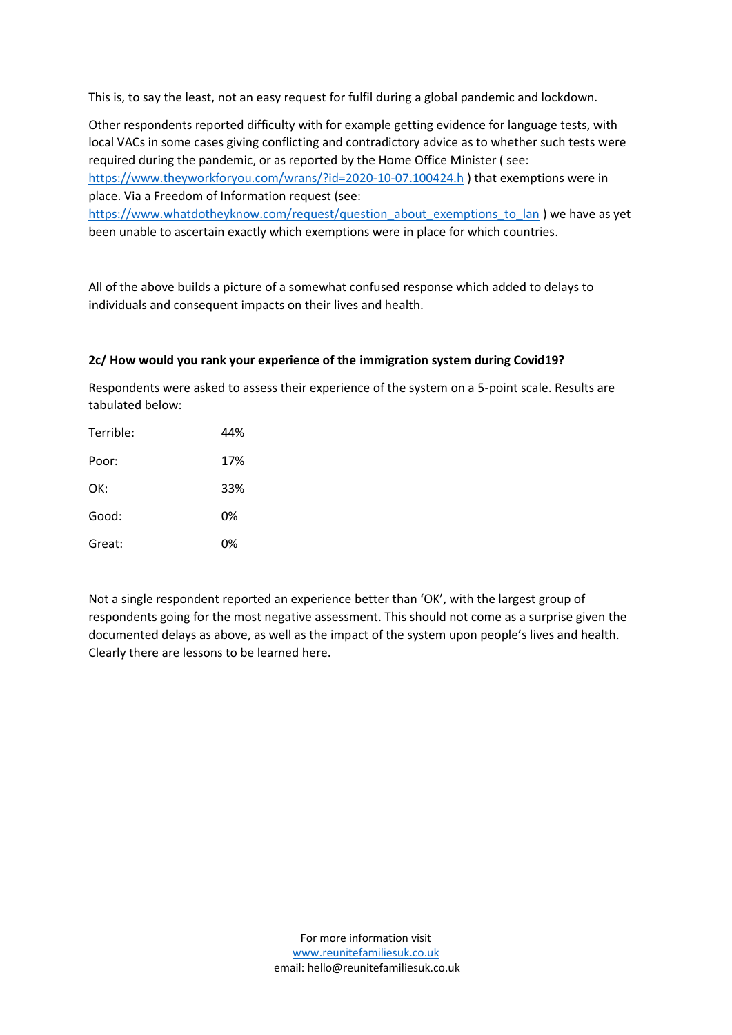This is, to say the least, not an easy request for fulfil during a global pandemic and lockdown.

Other respondents reported difficulty with for example getting evidence for language tests, with local VACs in some cases giving conflicting and contradictory advice as to whether such tests were required during the pandemic, or as reported by the Home Office Minister ( see: <https://www.theyworkforyou.com/wrans/?id=2020-10-07.100424.h> ) that exemptions were in place. Via a Freedom of Information request (see:

[https://www.whatdotheyknow.com/request/question\\_about\\_exemptions\\_to\\_lan](https://www.whatdotheyknow.com/request/question_about_exemptions_to_lan) ) we have as yet been unable to ascertain exactly which exemptions were in place for which countries.

All of the above builds a picture of a somewhat confused response which added to delays to individuals and consequent impacts on their lives and health.

#### **2c/ How would you rank your experience of the immigration system during Covid19?**

Respondents were asked to assess their experience of the system on a 5-point scale. Results are tabulated below:

| Terrible: | 44% |
|-----------|-----|
| Poor:     | 17% |
| OK:       | 33% |
| Good:     | 0%  |
| Great:    | 0%  |

Not a single respondent reported an experience better than 'OK', with the largest group of respondents going for the most negative assessment. This should not come as a surprise given the documented delays as above, as well as the impact of the system upon people's lives and health. Clearly there are lessons to be learned here.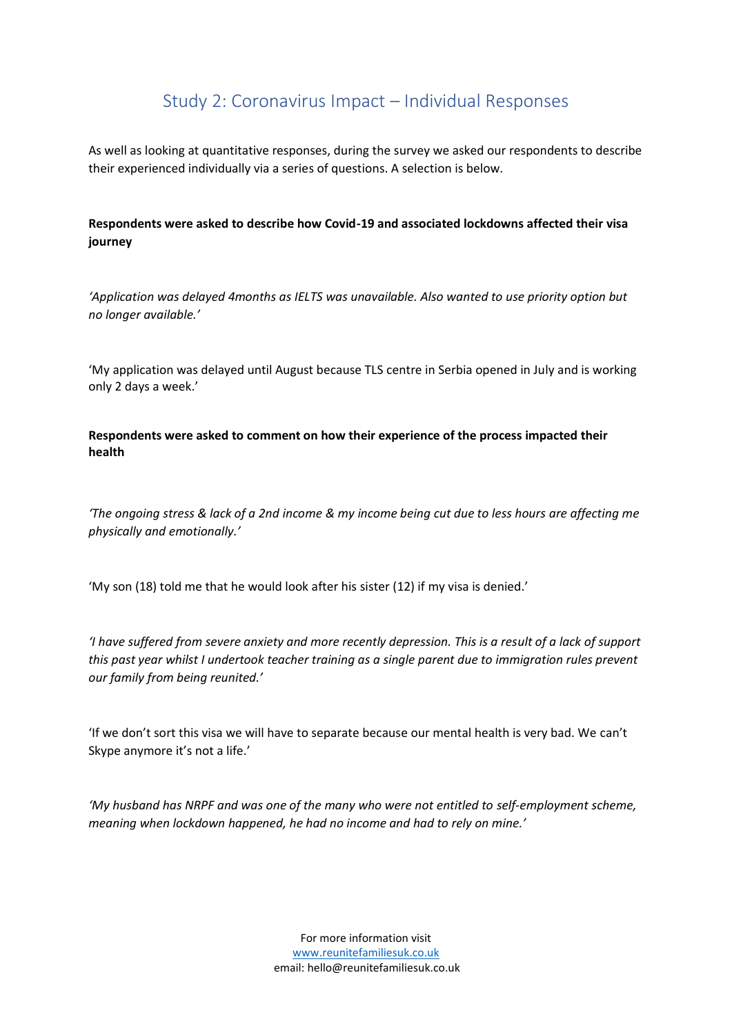### Study 2: Coronavirus Impact – Individual Responses

As well as looking at quantitative responses, during the survey we asked our respondents to describe their experienced individually via a series of questions. A selection is below.

### **Respondents were asked to describe how Covid-19 and associated lockdowns affected their visa journey**

*'Application was delayed 4months as IELTS was unavailable. Also wanted to use priority option but no longer available.'*

'My application was delayed until August because TLS centre in Serbia opened in July and is working only 2 days a week.'

**Respondents were asked to comment on how their experience of the process impacted their health**

*'The ongoing stress & lack of a 2nd income & my income being cut due to less hours are affecting me physically and emotionally.'*

'My son (18) told me that he would look after his sister (12) if my visa is denied.'

*'I have suffered from severe anxiety and more recently depression. This is a result of a lack of support this past year whilst I undertook teacher training as a single parent due to immigration rules prevent our family from being reunited.'*

'If we don't sort this visa we will have to separate because our mental health is very bad. We can't Skype anymore it's not a life.'

*'My husband has NRPF and was one of the many who were not entitled to self-employment scheme, meaning when lockdown happened, he had no income and had to rely on mine.'*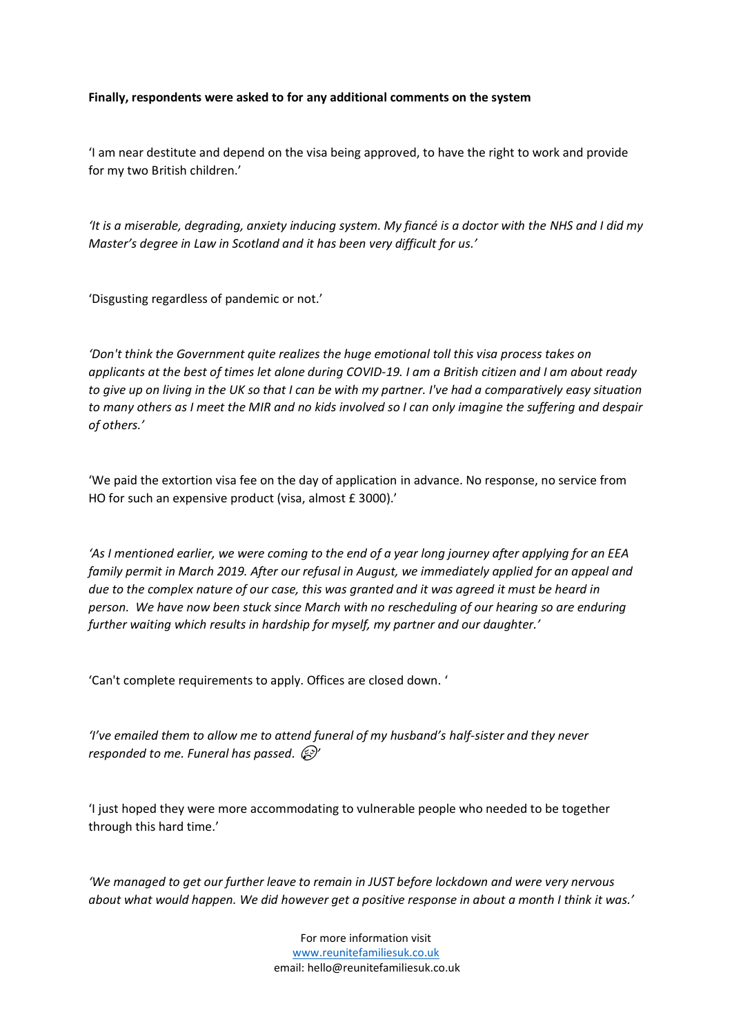#### **Finally, respondents were asked to for any additional comments on the system**

'I am near destitute and depend on the visa being approved, to have the right to work and provide for my two British children.'

*'It is a miserable, degrading, anxiety inducing system. My fiancé is a doctor with the NHS and I did my Master's degree in Law in Scotland and it has been very difficult for us.'*

'Disgusting regardless of pandemic or not.'

*'Don't think the Government quite realizes the huge emotional toll this visa process takes on applicants at the best of times let alone during COVID-19. I am a British citizen and I am about ready to give up on living in the UK so that I can be with my partner. I've had a comparatively easy situation to many others as I meet the MIR and no kids involved so I can only imagine the suffering and despair of others.'*

'We paid the extortion visa fee on the day of application in advance. No response, no service from HO for such an expensive product (visa, almost £ 3000).'

*'As I mentioned earlier, we were coming to the end of a year long journey after applying for an EEA family permit in March 2019. After our refusal in August, we immediately applied for an appeal and due to the complex nature of our case, this was granted and it was agreed it must be heard in person. We have now been stuck since March with no rescheduling of our hearing so are enduring further waiting which results in hardship for myself, my partner and our daughter.'*

'Can't complete requirements to apply. Offices are closed down. '

*'I've emailed them to allow me to attend funeral of my husband's half-sister and they never responded to me. Funeral has passed.'*

'I just hoped they were more accommodating to vulnerable people who needed to be together through this hard time.'

*'We managed to get our further leave to remain in JUST before lockdown and were very nervous about what would happen. We did however get a positive response in about a month I think it was.'*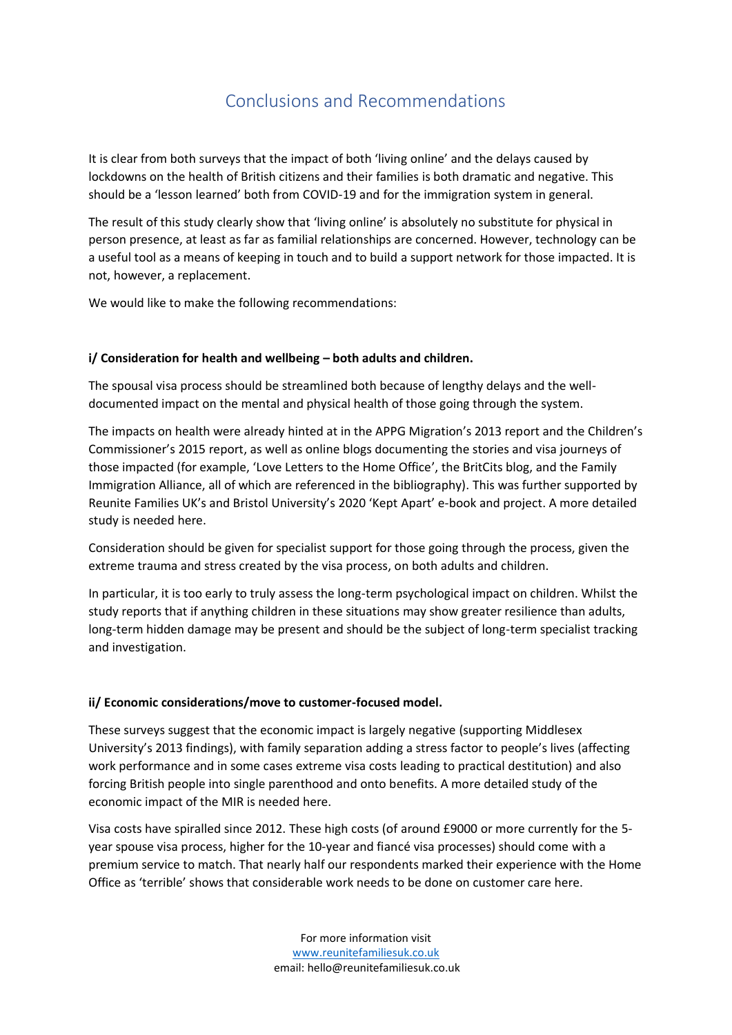# Conclusions and Recommendations

<span id="page-31-0"></span>It is clear from both surveys that the impact of both 'living online' and the delays caused by lockdowns on the health of British citizens and their families is both dramatic and negative. This should be a 'lesson learned' both from COVID-19 and for the immigration system in general.

The result of this study clearly show that 'living online' is absolutely no substitute for physical in person presence, at least as far as familial relationships are concerned. However, technology can be a useful tool as a means of keeping in touch and to build a support network for those impacted. It is not, however, a replacement.

We would like to make the following recommendations:

### **i/ Consideration for health and wellbeing – both adults and children.**

The spousal visa process should be streamlined both because of lengthy delays and the welldocumented impact on the mental and physical health of those going through the system.

The impacts on health were already hinted at in the APPG Migration's 2013 report and the Children's Commissioner's 2015 report, as well as online blogs documenting the stories and visa journeys of those impacted (for example, 'Love Letters to the Home Office', the BritCits blog, and the Family Immigration Alliance, all of which are referenced in the bibliography). This was further supported by Reunite Families UK's and Bristol University's 2020 'Kept Apart' e-book and project. A more detailed study is needed here.

Consideration should be given for specialist support for those going through the process, given the extreme trauma and stress created by the visa process, on both adults and children.

In particular, it is too early to truly assess the long-term psychological impact on children. Whilst the study reports that if anything children in these situations may show greater resilience than adults, long-term hidden damage may be present and should be the subject of long-term specialist tracking and investigation.

#### **ii/ Economic considerations/move to customer-focused model.**

These surveys suggest that the economic impact is largely negative (supporting Middlesex University's 2013 findings), with family separation adding a stress factor to people's lives (affecting work performance and in some cases extreme visa costs leading to practical destitution) and also forcing British people into single parenthood and onto benefits. A more detailed study of the economic impact of the MIR is needed here.

Visa costs have spiralled since 2012. These high costs (of around £9000 or more currently for the 5 year spouse visa process, higher for the 10-year and fiancé visa processes) should come with a premium service to match. That nearly half our respondents marked their experience with the Home Office as 'terrible' shows that considerable work needs to be done on customer care here.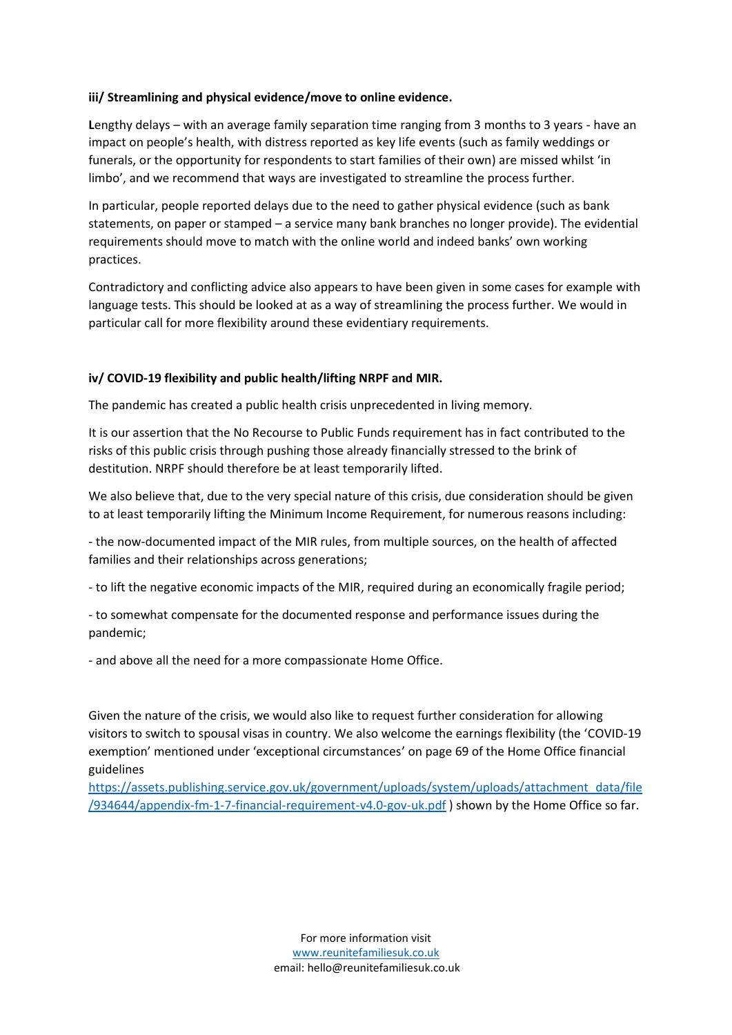### **iii/ Streamlining and physical evidence/move to online evidence.**

**L**engthy delays – with an average family separation time ranging from 3 months to 3 years - have an impact on people's health, with distress reported as key life events (such as family weddings or funerals, or the opportunity for respondents to start families of their own) are missed whilst 'in limbo', and we recommend that ways are investigated to streamline the process further.

In particular, people reported delays due to the need to gather physical evidence (such as bank statements, on paper or stamped – a service many bank branches no longer provide). The evidential requirements should move to match with the online world and indeed banks' own working practices.

Contradictory and conflicting advice also appears to have been given in some cases for example with language tests. This should be looked at as a way of streamlining the process further. We would in particular call for more flexibility around these evidentiary requirements.

### **iv/ COVID-19 flexibility and public health/lifting NRPF and MIR.**

The pandemic has created a public health crisis unprecedented in living memory.

It is our assertion that the No Recourse to Public Funds requirement has in fact contributed to the risks of this public crisis through pushing those already financially stressed to the brink of destitution. NRPF should therefore be at least temporarily lifted.

We also believe that, due to the very special nature of this crisis, due consideration should be given to at least temporarily lifting the Minimum Income Requirement, for numerous reasons including:

- the now-documented impact of the MIR rules, from multiple sources, on the health of affected families and their relationships across generations;

- to lift the negative economic impacts of the MIR, required during an economically fragile period;

- to somewhat compensate for the documented response and performance issues during the pandemic;

- and above all the need for a more compassionate Home Office.

Given the nature of the crisis, we would also like to request further consideration for allowing visitors to switch to spousal visas in country. We also welcome the earnings flexibility (the 'COVID-19 exemption' mentioned under 'exceptional circumstances' on page 69 of the Home Office financial guidelines

[https://assets.publishing.service.gov.uk/government/uploads/system/uploads/attachment\\_data/file](https://assets.publishing.service.gov.uk/government/uploads/system/uploads/attachment_data/file/934644/appendix-fm-1-7-financial-requirement-v4.0-gov-uk.pdf) [/934644/appendix-fm-1-7-financial-requirement-v4.0-gov-uk.pdf](https://assets.publishing.service.gov.uk/government/uploads/system/uploads/attachment_data/file/934644/appendix-fm-1-7-financial-requirement-v4.0-gov-uk.pdf) ) shown by the Home Office so far.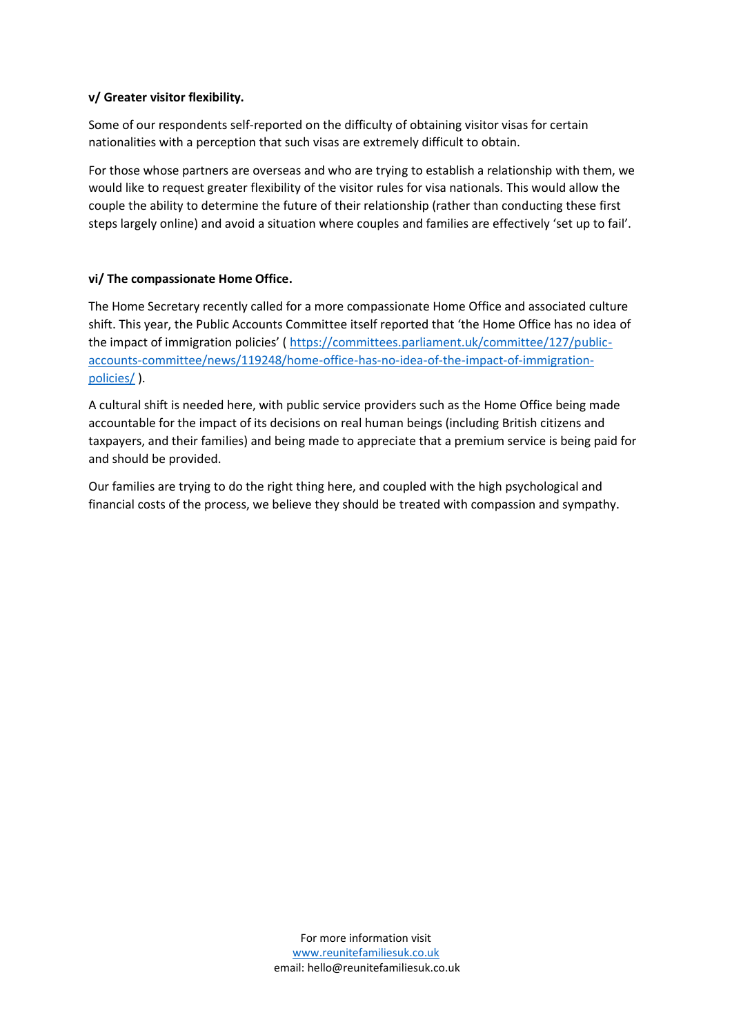### **v/ Greater visitor flexibility.**

Some of our respondents self-reported on the difficulty of obtaining visitor visas for certain nationalities with a perception that such visas are extremely difficult to obtain.

For those whose partners are overseas and who are trying to establish a relationship with them, we would like to request greater flexibility of the visitor rules for visa nationals. This would allow the couple the ability to determine the future of their relationship (rather than conducting these first steps largely online) and avoid a situation where couples and families are effectively 'set up to fail'.

### **vi/ The compassionate Home Office.**

The Home Secretary recently called for a more compassionate Home Office and associated culture shift. This year, the Public Accounts Committee itself reported that 'the Home Office has no idea of the impact of immigration policies' ( [https://committees.parliament.uk/committee/127/public](https://committees.parliament.uk/committee/127/public-accounts-committee/news/119248/home-office-has-no-idea-of-the-impact-of-immigration-policies/)[accounts-committee/news/119248/home-office-has-no-idea-of-the-impact-of-immigration](https://committees.parliament.uk/committee/127/public-accounts-committee/news/119248/home-office-has-no-idea-of-the-impact-of-immigration-policies/)[policies/](https://committees.parliament.uk/committee/127/public-accounts-committee/news/119248/home-office-has-no-idea-of-the-impact-of-immigration-policies/) ).

A cultural shift is needed here, with public service providers such as the Home Office being made accountable for the impact of its decisions on real human beings (including British citizens and taxpayers, and their families) and being made to appreciate that a premium service is being paid for and should be provided.

<span id="page-33-0"></span>Our families are trying to do the right thing here, and coupled with the high psychological and financial costs of the process, we believe they should be treated with compassion and sympathy.